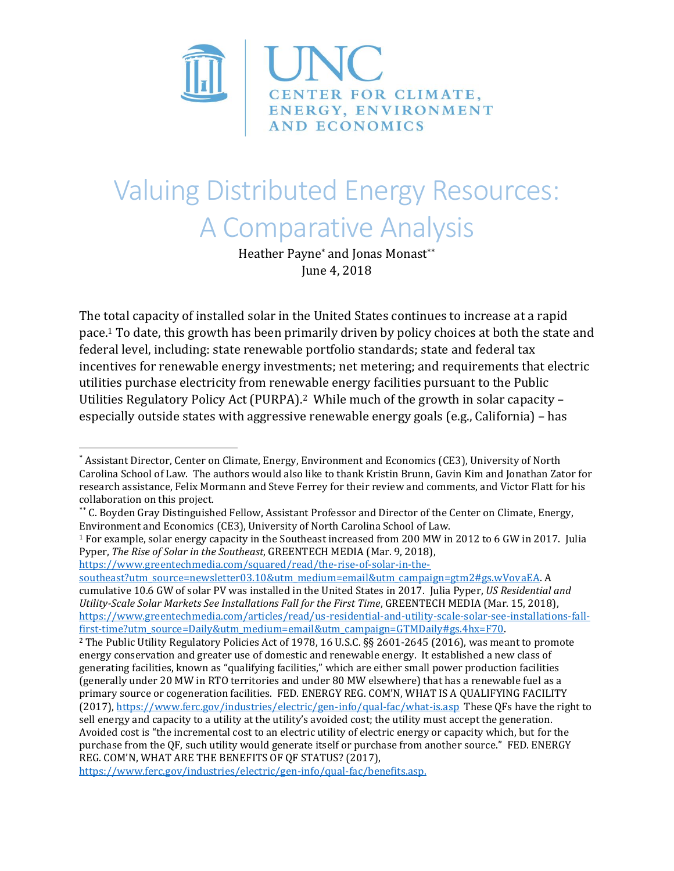

# Valuing Distributed Energy Resources: A Comparative Analysis

Heather Payne<sup>\*</sup> and Jonas Monast\*\* June 4, 2018

The total capacity of installed solar in the United States continues to increase at a rapid pace.<sup>1</sup> To date, this growth has been primarily driven by policy choices at both the state and federal level, including: state renewable portfolio standards; state and federal tax incentives for renewable energy investments; net metering; and requirements that electric utilities purchase electricity from renewable energy facilities pursuant to the Public Utilities Regulatory Policy Act (PURPA).2 While much of the growth in solar capacity – especially outside states with aggressive renewable energy goals (e.g., California) – has

<sup>1</sup> For example, solar energy capacity in the Southeast increased from 200 MW in 2012 to 6 GW in 2017. Julia Pyper, *The Rise of Solar in the Southeast*, GREENTECH MEDIA (Mar. 9, 2018),

[https://www.greentechmedia.com/squared/read/the-rise-of-solar-in-the](https://www.greentechmedia.com/squared/read/the-rise-of-solar-in-the-southeast?utm_source=newsletter03.10&utm_medium=email&utm_campaign=gtm2#gs.wVovaEA)[southeast?utm\\_source=newsletter03.10&utm\\_medium=email&utm\\_campaign=gtm2#gs.wVovaEA.](https://www.greentechmedia.com/squared/read/the-rise-of-solar-in-the-southeast?utm_source=newsletter03.10&utm_medium=email&utm_campaign=gtm2#gs.wVovaEA) A cumulative 10.6 GW of solar PV was installed in the United States in 2017. Julia Pyper, *US Residential and Utility-Scale Solar Markets See Installations Fall for the First Time*, GREENTECH MEDIA (Mar. 15, 2018), [https://www.greentechmedia.com/articles/read/us-residential-and-utility-scale-solar-see-installations-fall](https://www.greentechmedia.com/articles/read/us-residential-and-utility-scale-solar-see-installations-fall-first-time?utm_source=Daily&utm_medium=email&utm_campaign=GTMDaily#gs.4hx=F70)[first-time?utm\\_source=Daily&utm\\_medium=email&utm\\_campaign=GTMDaily#gs.4hx=F70.](https://www.greentechmedia.com/articles/read/us-residential-and-utility-scale-solar-see-installations-fall-first-time?utm_source=Daily&utm_medium=email&utm_campaign=GTMDaily#gs.4hx=F70)

 $\overline{\phantom{a}}$ \* Assistant Director, Center on Climate, Energy, Environment and Economics (CE3), University of North Carolina School of Law. The authors would also like to thank Kristin Brunn, Gavin Kim and Jonathan Zator for research assistance, Felix Mormann and Steve Ferrey for their review and comments, and Victor Flatt for his collaboration on this project.

<sup>\*\*</sup> C. Boyden Gray Distinguished Fellow, Assistant Professor and Director of the Center on Climate, Energy, Environment and Economics (CE3), University of North Carolina School of Law.

<sup>2</sup> The Public Utility Regulatory Policies Act of 1978, 16 U.S.C. §§ 2601-2645 (2016), was meant to promote energy conservation and greater use of domestic and renewable energy. It established a new class of generating facilities, known as "qualifying facilities," which are either small power production facilities (generally under 20 MW in RTO territories and under 80 MW elsewhere) that has a renewable fuel as a primary source or cogeneration facilities. FED. ENERGY REG. COM'N, WHAT IS A QUALIFYING FACILITY (2017),<https://www.ferc.gov/industries/electric/gen-info/qual-fac/what-is.asp>These QFs have the right to sell energy and capacity to a utility at the utility's avoided cost; the utility must accept the generation. Avoided cost is "the incremental cost to an electric utility of electric energy or capacity which, but for the purchase from the QF, such utility would generate itself or purchase from another source." FED. ENERGY REG. COM'N, WHAT ARE THE BENEFITS OF QF STATUS? (2017),

[https://www.ferc.gov/industries/electric/gen-info/qual-fac/benefits.asp.](https://www.ferc.gov/industries/electric/gen-info/qual-fac/benefits.asp)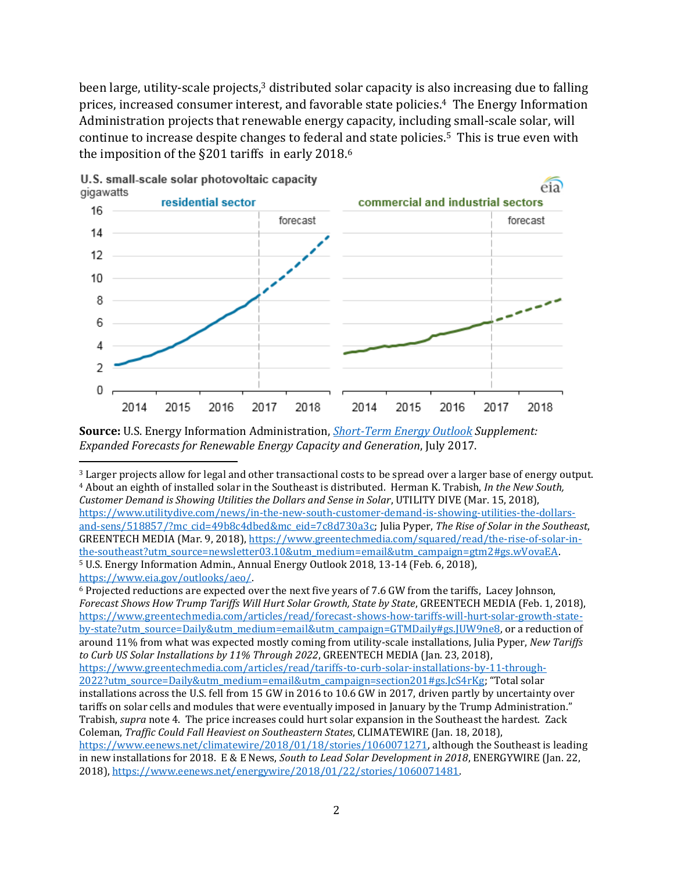been large, utility-scale projects,<sup>3</sup> distributed solar capacity is also increasing due to falling prices, increased consumer interest, and favorable state policies. <sup>4</sup> The Energy Information Administration projects that renewable energy capacity, including small-scale solar, will continue to increase despite changes to federal and state policies. <sup>5</sup> This is true even with the imposition of the §201 tariffs in early 2018.<sup>6</sup>



U.S. small-scale solar photovoltaic capacity gigawatts

l

**Source:** U.S. Energy Information Administration, *[Short-Term Energy Outlook](https://www.eia.gov/outlooks/steo/) Supplement: Expanded Forecasts for Renewable Energy Capacity and Generation*, July 2017.

<sup>3</sup> Larger projects allow for legal and other transactional costs to be spread over a larger base of energy output. <sup>4</sup> About an eighth of installed solar in the Southeast is distributed. Herman K. Trabish, *In the New South,* 

*Customer Demand is Showing Utilities the Dollars and Sense in Solar*, UTILITY DIVE (Mar. 15, 2018), [https://www.utilitydive.com/news/in-the-new-south-customer-demand-is-showing-utilities-the-dollars](https://www.utilitydive.com/news/in-the-new-south-customer-demand-is-showing-utilities-the-dollars-and-sens/518857/?mc_cid=49b8c4dbed&mc_eid=7c8d730a3c)[and-sens/518857/?mc\\_cid=49b8c4dbed&mc\\_eid=7c8d730a3c;](https://www.utilitydive.com/news/in-the-new-south-customer-demand-is-showing-utilities-the-dollars-and-sens/518857/?mc_cid=49b8c4dbed&mc_eid=7c8d730a3c) Julia Pyper, *The Rise of Solar in the Southeast*, GREENTECH MEDIA (Mar. 9, 2018)[, https://www.greentechmedia.com/squared/read/the-rise-of-solar-in](https://www.greentechmedia.com/squared/read/the-rise-of-solar-in-the-southeast?utm_source=newsletter03.10&utm_medium=email&utm_campaign=gtm2#gs.wVovaEA)[the-southeast?utm\\_source=newsletter03.10&utm\\_medium=email&utm\\_campaign=gtm2#gs.wVovaEA.](https://www.greentechmedia.com/squared/read/the-rise-of-solar-in-the-southeast?utm_source=newsletter03.10&utm_medium=email&utm_campaign=gtm2#gs.wVovaEA) <sup>5</sup> U.S. Energy Information Admin., Annual Energy Outlook 2018, 13-14 (Feb. 6, 2018), [https://www.eia.gov/outlooks/aeo/.](https://www.eia.gov/outlooks/aeo/) 

<sup>6</sup> Projected reductions are expected over the next five years of 7.6 GW from the tariffs, Lacey Johnson, *Forecast Shows How Trump Tariffs Will Hurt Solar Growth, State by State*, GREENTECH MEDIA (Feb. 1, 2018), [https://www.greentechmedia.com/articles/read/forecast-shows-how-tariffs-will-hurt-solar-growth-state](https://www.greentechmedia.com/articles/read/forecast-shows-how-tariffs-will-hurt-solar-growth-state-by-state?utm_source=Daily&utm_medium=email&utm_campaign=GTMDaily#gs.JUW9ne8)[by-state?utm\\_source=Daily&utm\\_medium=email&utm\\_campaign=GTMDaily#gs.JUW9ne8,](https://www.greentechmedia.com/articles/read/forecast-shows-how-tariffs-will-hurt-solar-growth-state-by-state?utm_source=Daily&utm_medium=email&utm_campaign=GTMDaily#gs.JUW9ne8) or a reduction of around 11% from what was expected mostly coming from utility-scale installations, Julia Pyper, *New Tariffs to Curb US Solar Installations by 11% Through 2022*, GREENTECH MEDIA (Jan. 23, 2018), [https://www.greentechmedia.com/articles/read/tariffs-to-curb-solar-installations-by-11-through-](https://www.greentechmedia.com/articles/read/tariffs-to-curb-solar-installations-by-11-through-2022?utm_source=Daily&utm_medium=email&utm_campaign=section201#gs.JcS4rKg)[2022?utm\\_source=Daily&utm\\_medium=email&utm\\_campaign=section201#gs.JcS4rKg](https://www.greentechmedia.com/articles/read/tariffs-to-curb-solar-installations-by-11-through-2022?utm_source=Daily&utm_medium=email&utm_campaign=section201#gs.JcS4rKg); "Total solar installations across the U.S. fell from 15 GW in 2016 to 10.6 GW in 2017, driven partly by uncertainty over tariffs on solar cells and modules that were eventually imposed in January by the Trump Administration." Trabish, *supra* note 4. The price increases could hurt solar expansion in the Southeast the hardest. Zack Coleman, *Traffic Could Fall Heaviest on Southeastern States*, CLIMATEWIRE (Jan. 18, 2018), [https://www.eenews.net/climatewire/2018/01/18/stories/1060071271,](https://www.eenews.net/climatewire/2018/01/18/stories/1060071271) although the Southeast is leading in new installations for 2018. E & E News, *South to Lead Solar Development in 2018*, ENERGYWIRE (Jan. 22, 2018), [https://www.eenews.net/energywire/2018/01/22/stories/1060071481.](https://www.eenews.net/energywire/2018/01/22/stories/1060071481)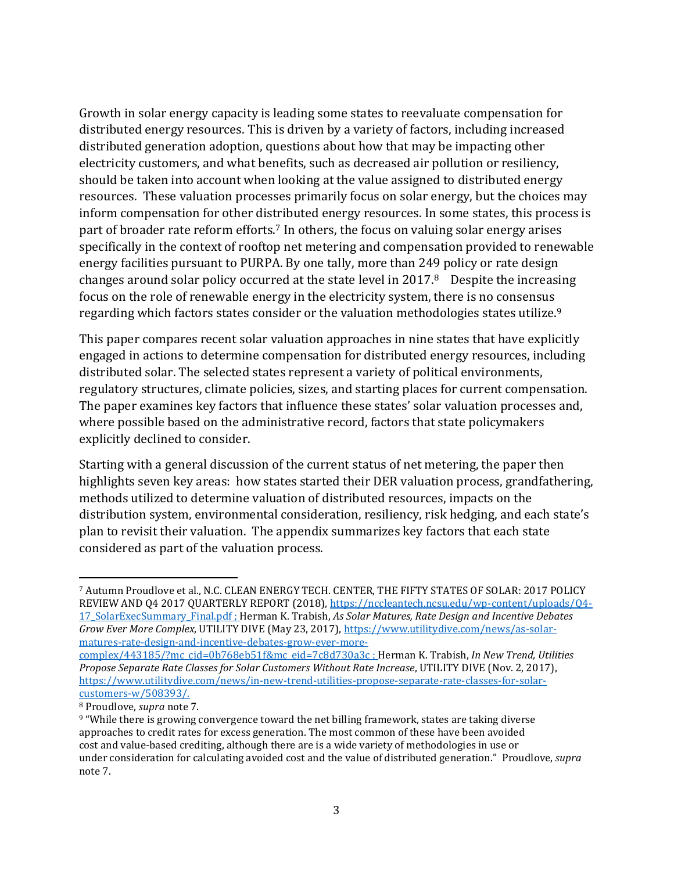Growth in solar energy capacity is leading some states to reevaluate compensation for distributed energy resources. This is driven by a variety of factors, including increased distributed generation adoption, questions about how that may be impacting other electricity customers, and what benefits, such as decreased air pollution or resiliency, should be taken into account when looking at the value assigned to distributed energy resources. These valuation processes primarily focus on solar energy, but the choices may inform compensation for other distributed energy resources. In some states, this process is part of broader rate reform efforts.<sup>7</sup> In others, the focus on valuing solar energy arises specifically in the context of rooftop net metering and compensation provided to renewable energy facilities pursuant to PURPA. By one tally, more than 249 policy or rate design changes around solar policy occurred at the state level in 2017. <sup>8</sup> Despite the increasing focus on the role of renewable energy in the electricity system, there is no consensus regarding which factors states consider or the valuation methodologies states utilize.<sup>9</sup>

This paper compares recent solar valuation approaches in nine states that have explicitly engaged in actions to determine compensation for distributed energy resources, including distributed solar. The selected states represent a variety of political environments, regulatory structures, climate policies, sizes, and starting places for current compensation. The paper examines key factors that influence these states' solar valuation processes and, where possible based on the administrative record, factors that state policymakers explicitly declined to consider.

Starting with a general discussion of the current status of net metering, the paper then highlights seven key areas: how states started their DER valuation process, grandfathering, methods utilized to determine valuation of distributed resources, impacts on the distribution system, environmental consideration, resiliency, risk hedging, and each state's plan to revisit their valuation. The appendix summarizes key factors that each state considered as part of the valuation process.

<sup>7</sup> Autumn Proudlove et al., N.C. CLEAN ENERGY TECH. CENTER, THE FIFTY STATES OF SOLAR: 2017 POLICY REVIEW AND Q4 2017 QUARTERLY REPORT (2018), [https://nccleantech.ncsu.edu/wp-content/uploads/Q4-](https://nccleantech.ncsu.edu/wp-content/uploads/Q4-17_SolarExecSummary_Final.pdf) [17\\_SolarExecSummary\\_Final.pdf](https://nccleantech.ncsu.edu/wp-content/uploads/Q4-17_SolarExecSummary_Final.pdf) ; Herman K. Trabish, *As Solar Matures, Rate Design and Incentive Debates Grow Ever More Complex*, UTILITY DIVE (May 23, 2017)[, https://www.utilitydive.com/news/as-solar](https://www.utilitydive.com/news/as-solar-matures-rate-design-and-incentive-debates-grow-ever-more-complex/443185/?mc_cid=0b768eb51f&mc_eid=7c8d730a3c)[matures-rate-design-and-incentive-debates-grow-ever-more-](https://www.utilitydive.com/news/as-solar-matures-rate-design-and-incentive-debates-grow-ever-more-complex/443185/?mc_cid=0b768eb51f&mc_eid=7c8d730a3c)

[complex/443185/?mc\\_cid=0b768eb51f&mc\\_eid=7c8d730a3c](https://www.utilitydive.com/news/as-solar-matures-rate-design-and-incentive-debates-grow-ever-more-complex/443185/?mc_cid=0b768eb51f&mc_eid=7c8d730a3c) ; Herman K. Trabish, *In New Trend, Utilities Propose Separate Rate Classes for Solar Customers Without Rate Increase*, UTILITY DIVE (Nov. 2, 2017), https://www.utilitydive.com/news/in-new-trend-utilities-propose-separate-rate-classes-for-solarcustomers-w/508393/.

<sup>8</sup> Proudlove, *supra* note 7.

<sup>9</sup> "While there is growing convergence toward the net billing framework, states are taking diverse approaches to credit rates for excess generation. The most common of these have been avoided cost and value-based crediting, although there are is a wide variety of methodologies in use or under consideration for calculating avoided cost and the value of distributed generation." Proudlove, *supra* note 7.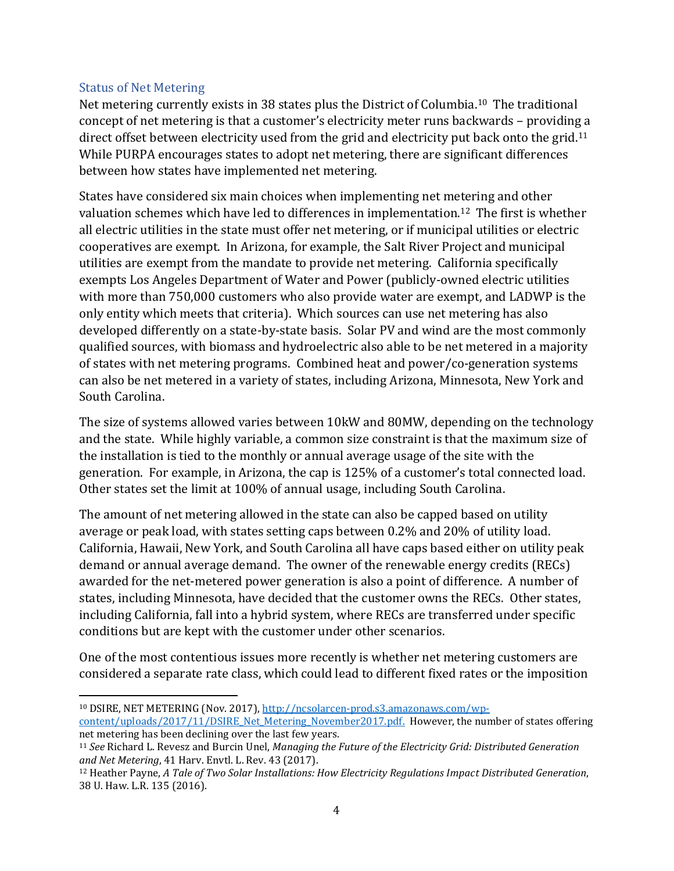#### Status of Net Metering

Net metering currently exists in 38 states plus the District of Columbia.10 The traditional concept of net metering is that a customer's electricity meter runs backwards – providing a direct offset between electricity used from the grid and electricity put back onto the grid.<sup>11</sup> While PURPA encourages states to adopt net metering, there are significant differences between how states have implemented net metering.

States have considered six main choices when implementing net metering and other valuation schemes which have led to differences in implementation.12 The first is whether all electric utilities in the state must offer net metering, or if municipal utilities or electric cooperatives are exempt. In Arizona, for example, the Salt River Project and municipal utilities are exempt from the mandate to provide net metering. California specifically exempts Los Angeles Department of Water and Power (publicly-owned electric utilities with more than 750,000 customers who also provide water are exempt, and LADWP is the only entity which meets that criteria). Which sources can use net metering has also developed differently on a state-by-state basis. Solar PV and wind are the most commonly qualified sources, with biomass and hydroelectric also able to be net metered in a majority of states with net metering programs. Combined heat and power/co-generation systems can also be net metered in a variety of states, including Arizona, Minnesota, New York and South Carolina.

The size of systems allowed varies between 10kW and 80MW, depending on the technology and the state. While highly variable, a common size constraint is that the maximum size of the installation is tied to the monthly or annual average usage of the site with the generation. For example, in Arizona, the cap is 125% of a customer's total connected load. Other states set the limit at 100% of annual usage, including South Carolina.

The amount of net metering allowed in the state can also be capped based on utility average or peak load, with states setting caps between 0.2% and 20% of utility load. California, Hawaii, New York, and South Carolina all have caps based either on utility peak demand or annual average demand. The owner of the renewable energy credits (RECs) awarded for the net-metered power generation is also a point of difference. A number of states, including Minnesota, have decided that the customer owns the RECs. Other states, including California, fall into a hybrid system, where RECs are transferred under specific conditions but are kept with the customer under other scenarios.

One of the most contentious issues more recently is whether net metering customers are considered a separate rate class, which could lead to different fixed rates or the imposition

 $\overline{\phantom{a}}$ <sup>10</sup> DSIRE, NET METERING (Nov. 2017), [http://ncsolarcen-prod.s3.amazonaws.com/wp](http://ncsolarcen-prod.s3.amazonaws.com/wp-content/uploads/2017/11/DSIRE_Net_Metering_November2017.pdf)[content/uploads/2017/11/DSIRE\\_Net\\_Metering\\_November2017.pdf.](http://ncsolarcen-prod.s3.amazonaws.com/wp-content/uploads/2017/11/DSIRE_Net_Metering_November2017.pdf) However, the number of states offering net metering has been declining over the last few years.

<sup>11</sup> *See* Richard L. Revesz and Burcin Unel, *Managing the Future of the Electricity Grid: Distributed Generation and Net Metering*, 41 Harv. Envtl. L. Rev. 43 (2017).

<sup>12</sup> Heather Payne, *A Tale of Two Solar Installations: How Electricity Regulations Impact Distributed Generation*, 38 U. Haw. L.R. 135 (2016).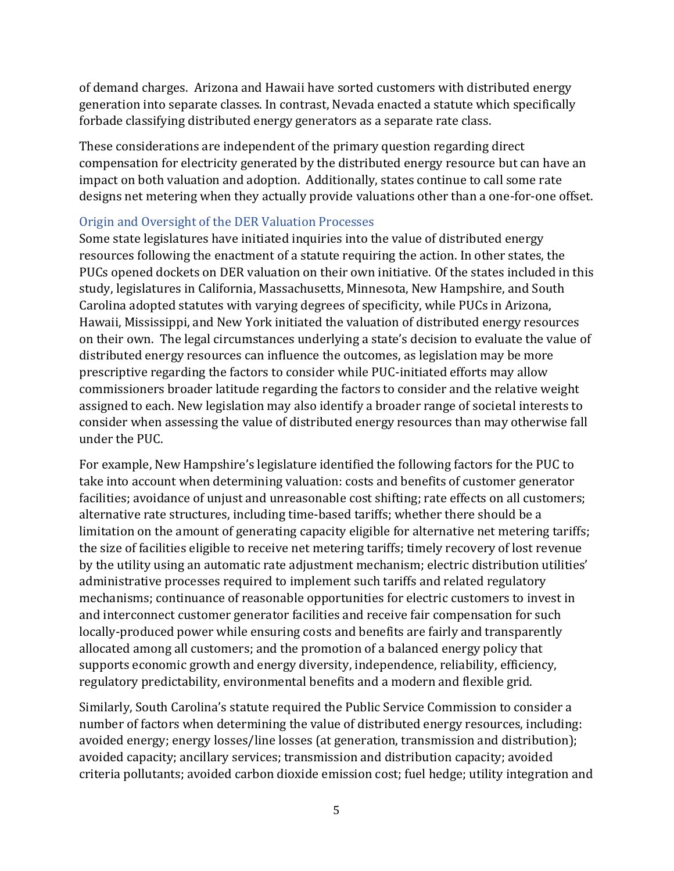of demand charges. Arizona and Hawaii have sorted customers with distributed energy generation into separate classes. In contrast, Nevada enacted a statute which specifically forbade classifying distributed energy generators as a separate rate class.

These considerations are independent of the primary question regarding direct compensation for electricity generated by the distributed energy resource but can have an impact on both valuation and adoption. Additionally, states continue to call some rate designs net metering when they actually provide valuations other than a one-for-one offset.

#### Origin and Oversight of the DER Valuation Processes

Some state legislatures have initiated inquiries into the value of distributed energy resources following the enactment of a statute requiring the action. In other states, the PUCs opened dockets on DER valuation on their own initiative. Of the states included in this study, legislatures in California, Massachusetts, Minnesota, New Hampshire, and South Carolina adopted statutes with varying degrees of specificity, while PUCs in Arizona, Hawaii, Mississippi, and New York initiated the valuation of distributed energy resources on their own. The legal circumstances underlying a state's decision to evaluate the value of distributed energy resources can influence the outcomes, as legislation may be more prescriptive regarding the factors to consider while PUC-initiated efforts may allow commissioners broader latitude regarding the factors to consider and the relative weight assigned to each. New legislation may also identify a broader range of societal interests to consider when assessing the value of distributed energy resources than may otherwise fall under the PUC.

For example, New Hampshire's legislature identified the following factors for the PUC to take into account when determining valuation: costs and benefits of customer generator facilities; avoidance of unjust and unreasonable cost shifting; rate effects on all customers; alternative rate structures, including time-based tariffs; whether there should be a limitation on the amount of generating capacity eligible for alternative net metering tariffs; the size of facilities eligible to receive net metering tariffs; timely recovery of lost revenue by the utility using an automatic rate adjustment mechanism; electric distribution utilities' administrative processes required to implement such tariffs and related regulatory mechanisms; continuance of reasonable opportunities for electric customers to invest in and interconnect customer generator facilities and receive fair compensation for such locally-produced power while ensuring costs and benefits are fairly and transparently allocated among all customers; and the promotion of a balanced energy policy that supports economic growth and energy diversity, independence, reliability, efficiency, regulatory predictability, environmental benefits and a modern and flexible grid.

Similarly, South Carolina's statute required the Public Service Commission to consider a number of factors when determining the value of distributed energy resources, including: avoided energy; energy losses/line losses (at generation, transmission and distribution); avoided capacity; ancillary services; transmission and distribution capacity; avoided criteria pollutants; avoided carbon dioxide emission cost; fuel hedge; utility integration and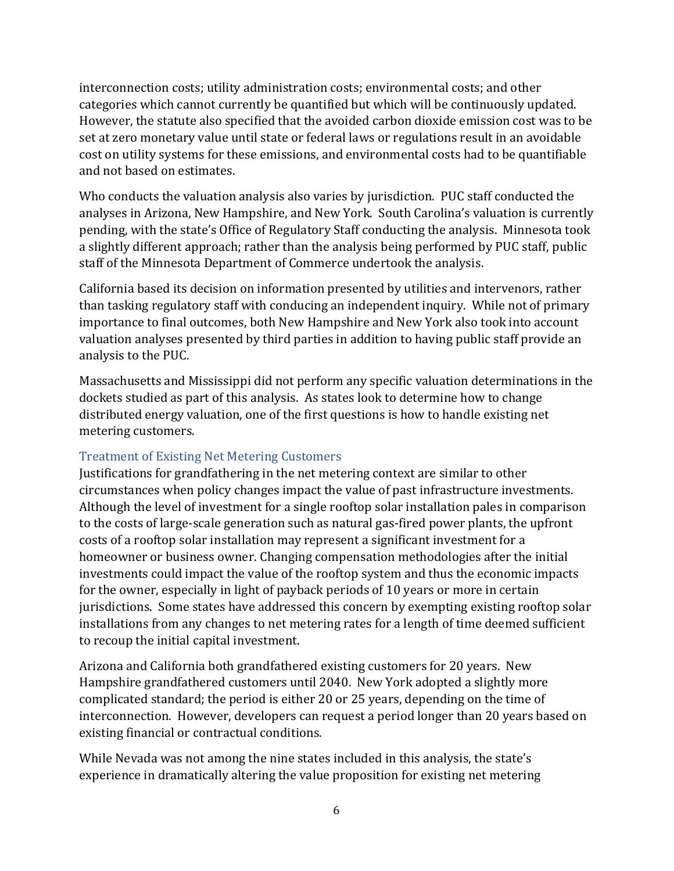interconnection costs; utility administration costs; environmental costs; and other categories which cannot currently be quantified but which will be continuously updated. However, the statute also specified that the avoided carbon dioxide emission cost was to be set at zero monetary value until state or federal laws or regulations result in an avoidable cost on utility systems for these emissions, and environmental costs had to be quantifiable and not based on estimates.

Who conducts the valuation analysis also varies by jurisdiction. PUC staff conducted the analyses in Arizona, New Hampshire, and New York. South Carolina's valuation is currently pending, with the state's Office of Regulatory Staff conducting the analysis. Minnesota took a slightly different approach; rather than the analysis being performed by PUC staff, public staff of the Minnesota Department of Commerce undertook the analysis.

California based its decision on information presented by utilities and intervenors, rather than tasking regulatory staff with conducing an independent inquiry. While not of primary importance to final outcomes, both New Hampshire and New York also took into account valuation analyses presented by third parties in addition to having public staff provide an analysis to the PUC.

Massachusetts and Mississippi did not perform any specific valuation determinations in the dockets studied as part of this analysis. As states look to determine how to change distributed energy valuation, one of the first questions is how to handle existing net metering customers.

## Treatment of Existing Net Metering Customers

Justifications for grandfathering in the net metering context are similar to other circumstances when policy changes impact the value of past infrastructure investments. Although the level of investment for a single rooftop solar installation pales in comparison to the costs of large-scale generation such as natural gas-fired power plants, the upfront costs of a rooftop solar installation may represent a significant investment for a homeowner or business owner. Changing compensation methodologies after the initial investments could impact the value of the rooftop system and thus the economic impacts for the owner, especially in light of payback periods of 10 years or more in certain jurisdictions. Some states have addressed this concern by exempting existing rooftop solar installations from any changes to net metering rates for a length of time deemed sufficient to recoup the initial capital investment.

Arizona and California both grandfathered existing customers for 20 years. New Hampshire grandfathered customers until 2040. New York adopted a slightly more complicated standard; the period is either 20 or 25 years, depending on the time of interconnection. However, developers can request a period longer than 20 years based on existing financial or contractual conditions.

While Nevada was not among the nine states included in this analysis, the state's experience in dramatically altering the value proposition for existing net metering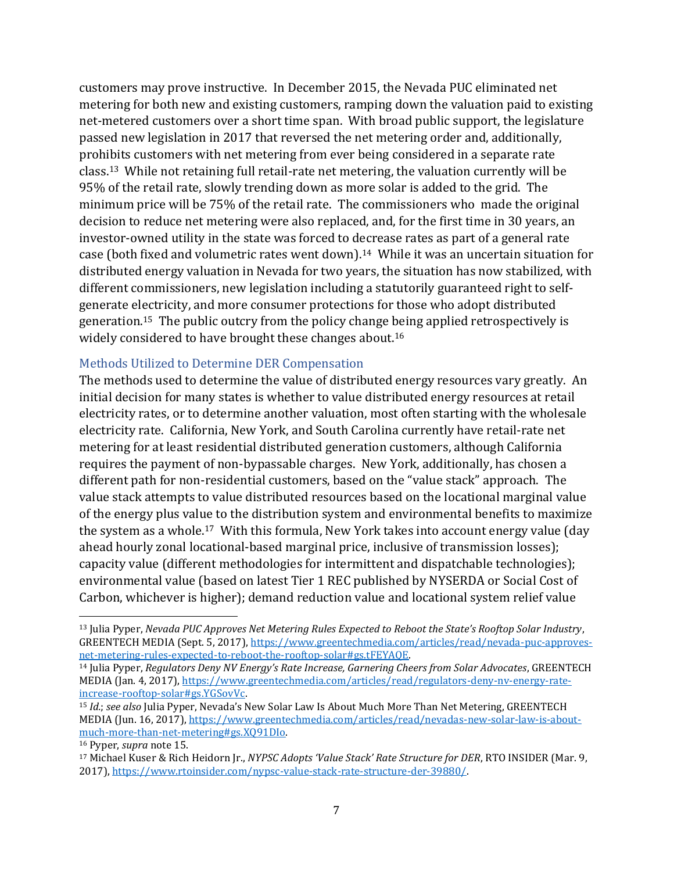customers may prove instructive. In December 2015, the Nevada PUC eliminated net metering for both new and existing customers, ramping down the valuation paid to existing net-metered customers over a short time span. With broad public support, the legislature passed new legislation in 2017 that reversed the net metering order and, additionally, prohibits customers with net metering from ever being considered in a separate rate class.13 While not retaining full retail-rate net metering, the valuation currently will be 95% of the retail rate, slowly trending down as more solar is added to the grid. The minimum price will be 75% of the retail rate. The commissioners who made the original decision to reduce net metering were also replaced, and, for the first time in 30 years, an investor-owned utility in the state was forced to decrease rates as part of a general rate case (both fixed and volumetric rates went down).14 While it was an uncertain situation for distributed energy valuation in Nevada for two years, the situation has now stabilized, with different commissioners, new legislation including a statutorily guaranteed right to selfgenerate electricity, and more consumer protections for those who adopt distributed generation.15 The public outcry from the policy change being applied retrospectively is widely considered to have brought these changes about.<sup>16</sup>

#### Methods Utilized to Determine DER Compensation

The methods used to determine the value of distributed energy resources vary greatly. An initial decision for many states is whether to value distributed energy resources at retail electricity rates, or to determine another valuation, most often starting with the wholesale electricity rate. California, New York, and South Carolina currently have retail-rate net metering for at least residential distributed generation customers, although California requires the payment of non-bypassable charges. New York, additionally, has chosen a different path for non-residential customers, based on the "value stack" approach. The value stack attempts to value distributed resources based on the locational marginal value of the energy plus value to the distribution system and environmental benefits to maximize the system as a whole. <sup>17</sup> With this formula, New York takes into account energy value (day ahead hourly zonal locational-based marginal price, inclusive of transmission losses); capacity value (different methodologies for intermittent and dispatchable technologies); environmental value (based on latest Tier 1 REC published by NYSERDA or Social Cost of Carbon, whichever is higher); demand reduction value and locational system relief value

<sup>13</sup> Julia Pyper, *Nevada PUC Approves Net Metering Rules Expected to Reboot the State's Rooftop Solar Industry*, GREENTECH MEDIA (Sept. 5, 2017), [https://www.greentechmedia.com/articles/read/nevada-puc-approves](https://www.greentechmedia.com/articles/read/nevada-puc-approves-net-metering-rules-expected-to-reboot-the-rooftop-solar#gs.tFEYAQE)[net-metering-rules-expected-to-reboot-the-rooftop-solar#gs.tFEYAQE.](https://www.greentechmedia.com/articles/read/nevada-puc-approves-net-metering-rules-expected-to-reboot-the-rooftop-solar#gs.tFEYAQE)

<sup>14</sup> Julia Pyper, *Regulators Deny NV Energy's Rate Increase, Garnering Cheers from Solar Advocates*, GREENTECH MEDIA (Jan. 4, 2017), [https://www.greentechmedia.com/articles/read/regulators-deny-nv-energy-rate](https://www.greentechmedia.com/articles/read/regulators-deny-nv-energy-rate-increase-rooftop-solar#gs.YGSovVc)[increase-rooftop-solar#gs.YGSovVc.](https://www.greentechmedia.com/articles/read/regulators-deny-nv-energy-rate-increase-rooftop-solar#gs.YGSovVc)

<sup>15</sup> *Id.*; *see also* Julia Pyper, Nevada's New Solar Law Is About Much More Than Net Metering, GREENTECH MEDIA (Jun. 16, 2017), [https://www.greentechmedia.com/articles/read/nevadas-new-solar-law-is-about](https://www.greentechmedia.com/articles/read/nevadas-new-solar-law-is-about-much-more-than-net-metering#gs.XQ91DIo)[much-more-than-net-metering#gs.XQ91DIo.](https://www.greentechmedia.com/articles/read/nevadas-new-solar-law-is-about-much-more-than-net-metering#gs.XQ91DIo) 

<sup>16</sup> Pyper, *supra* note 15.

<sup>17</sup> Michael Kuser & Rich Heidorn Jr., *NYPSC Adopts 'Value Stack' Rate Structure for DER*, RTO INSIDER (Mar. 9, 2017), [https://www.rtoinsider.com/nypsc-value-stack-rate-structure-der-39880/.](https://www.rtoinsider.com/nypsc-value-stack-rate-structure-der-39880/)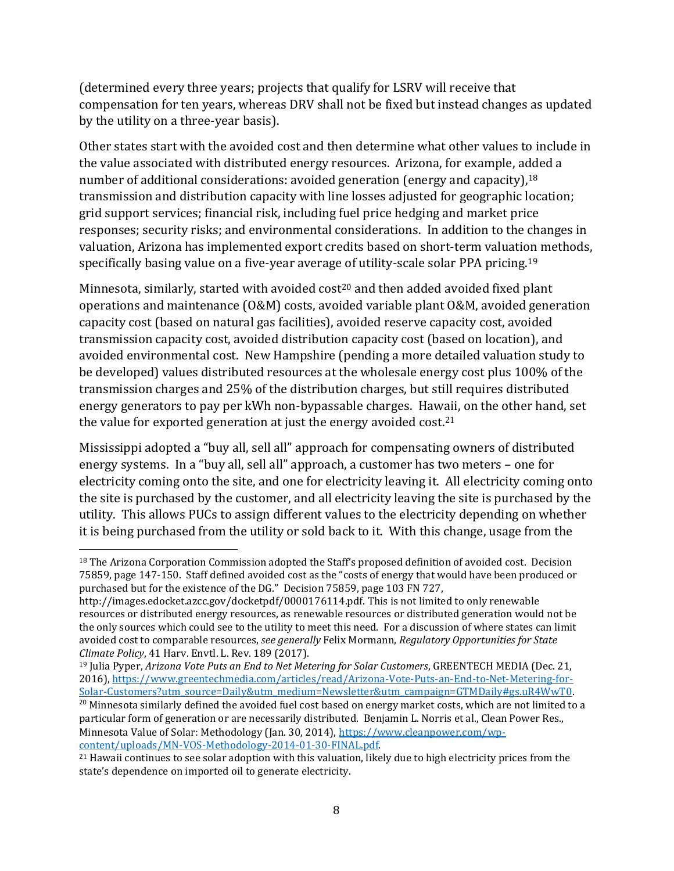(determined every three years; projects that qualify for LSRV will receive that compensation for ten years, whereas DRV shall not be fixed but instead changes as updated by the utility on a three-year basis).

Other states start with the avoided cost and then determine what other values to include in the value associated with distributed energy resources. Arizona, for example, added a number of additional considerations: avoided generation (energy and capacity), 18 transmission and distribution capacity with line losses adjusted for geographic location; grid support services; financial risk, including fuel price hedging and market price responses; security risks; and environmental considerations. In addition to the changes in valuation, Arizona has implemented export credits based on short-term valuation methods, specifically basing value on a five-year average of utility-scale solar PPA pricing.<sup>19</sup>

Minnesota, similarly, started with avoided cost<sup>20</sup> and then added avoided fixed plant operations and maintenance (O&M) costs, avoided variable plant O&M, avoided generation capacity cost (based on natural gas facilities), avoided reserve capacity cost, avoided transmission capacity cost, avoided distribution capacity cost (based on location), and avoided environmental cost. New Hampshire (pending a more detailed valuation study to be developed) values distributed resources at the wholesale energy cost plus 100% of the transmission charges and 25% of the distribution charges, but still requires distributed energy generators to pay per kWh non-bypassable charges. Hawaii, on the other hand, set the value for exported generation at just the energy avoided cost. $21$ 

Mississippi adopted a "buy all, sell all" approach for compensating owners of distributed energy systems. In a "buy all, sell all" approach, a customer has two meters – one for electricity coming onto the site, and one for electricity leaving it. All electricity coming onto the site is purchased by the customer, and all electricity leaving the site is purchased by the utility. This allows PUCs to assign different values to the electricity depending on whether it is being purchased from the utility or sold back to it. With this change, usage from the

l

<sup>20</sup> Minnesota similarly defined the avoided fuel cost based on energy market costs, which are not limited to a particular form of generation or are necessarily distributed. Benjamin L. Norris et al., Clean Power Res., Minnesota Value of Solar: Methodology (Jan. 30, 2014), [https://www.cleanpower.com/wp](https://www.cleanpower.com/wp-content/uploads/MN-VOS-Methodology-2014-01-30-FINAL.pdf)[content/uploads/MN-VOS-Methodology-2014-01-30-FINAL.pdf.](https://www.cleanpower.com/wp-content/uploads/MN-VOS-Methodology-2014-01-30-FINAL.pdf)

<sup>18</sup> The Arizona Corporation Commission adopted the Staff's proposed definition of avoided cost. Decision 75859, page 147-150. Staff defined avoided cost as the "costs of energy that would have been produced or purchased but for the existence of the DG." Decision 75859, page 103 FN 727,

http://images.edocket.azcc.gov/docketpdf/0000176114.pdf. This is not limited to only renewable resources or distributed energy resources, as renewable resources or distributed generation would not be the only sources which could see to the utility to meet this need. For a discussion of where states can limit avoided cost to comparable resources, *see generally* Felix Mormann, *Regulatory Opportunities for State Climate Policy*, 41 Harv. Envtl. L. Rev. 189 (2017).

<sup>19</sup> Julia Pyper, *Arizona Vote Puts an End to Net Metering for Solar Customers*, GREENTECH MEDIA (Dec. 21, 2016), [https://www.greentechmedia.com/articles/read/Arizona-Vote-Puts-an-End-to-Net-Metering-for-](https://www.greentechmedia.com/articles/read/Arizona-Vote-Puts-an-End-to-Net-Metering-for-Solar-Customers?utm_source=Daily&utm_medium=Newsletter&utm_campaign=GTMDaily#gs.uR4WwT0)[Solar-Customers?utm\\_source=Daily&utm\\_medium=Newsletter&utm\\_campaign=GTMDaily#gs.uR4WwT0.](https://www.greentechmedia.com/articles/read/Arizona-Vote-Puts-an-End-to-Net-Metering-for-Solar-Customers?utm_source=Daily&utm_medium=Newsletter&utm_campaign=GTMDaily#gs.uR4WwT0)

<sup>&</sup>lt;sup>21</sup> Hawaii continues to see solar adoption with this valuation, likely due to high electricity prices from the state's dependence on imported oil to generate electricity.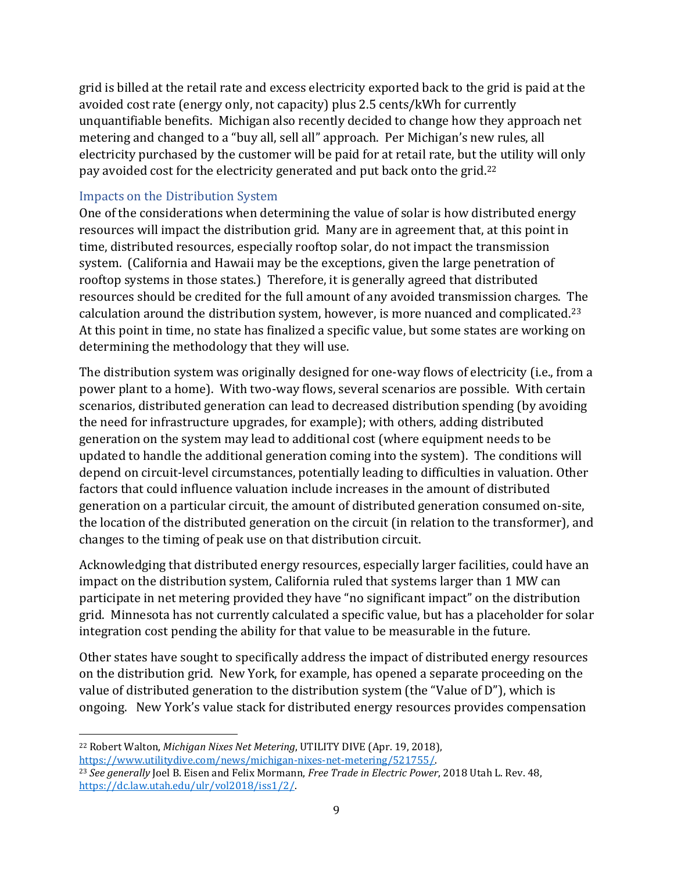grid is billed at the retail rate and excess electricity exported back to the grid is paid at the avoided cost rate (energy only, not capacity) plus 2.5 cents/kWh for currently unquantifiable benefits. Michigan also recently decided to change how they approach net metering and changed to a "buy all, sell all" approach. Per Michigan's new rules, all electricity purchased by the customer will be paid for at retail rate, but the utility will only pay avoided cost for the electricity generated and put back onto the grid.<sup>22</sup>

## Impacts on the Distribution System

One of the considerations when determining the value of solar is how distributed energy resources will impact the distribution grid. Many are in agreement that, at this point in time, distributed resources, especially rooftop solar, do not impact the transmission system. (California and Hawaii may be the exceptions, given the large penetration of rooftop systems in those states.) Therefore, it is generally agreed that distributed resources should be credited for the full amount of any avoided transmission charges. The calculation around the distribution system, however, is more nuanced and complicated.<sup>23</sup> At this point in time, no state has finalized a specific value, but some states are working on determining the methodology that they will use.

The distribution system was originally designed for one-way flows of electricity (i.e., from a power plant to a home). With two-way flows, several scenarios are possible. With certain scenarios, distributed generation can lead to decreased distribution spending (by avoiding the need for infrastructure upgrades, for example); with others, adding distributed generation on the system may lead to additional cost (where equipment needs to be updated to handle the additional generation coming into the system). The conditions will depend on circuit-level circumstances, potentially leading to difficulties in valuation. Other factors that could influence valuation include increases in the amount of distributed generation on a particular circuit, the amount of distributed generation consumed on-site, the location of the distributed generation on the circuit (in relation to the transformer), and changes to the timing of peak use on that distribution circuit.

Acknowledging that distributed energy resources, especially larger facilities, could have an impact on the distribution system, California ruled that systems larger than 1 MW can participate in net metering provided they have "no significant impact" on the distribution grid. Minnesota has not currently calculated a specific value, but has a placeholder for solar integration cost pending the ability for that value to be measurable in the future.

Other states have sought to specifically address the impact of distributed energy resources on the distribution grid. New York, for example, has opened a separate proceeding on the value of distributed generation to the distribution system (the "Value of D"), which is ongoing. New York's value stack for distributed energy resources provides compensation

 $\overline{\phantom{a}}$ <sup>22</sup> Robert Walton, *Michigan Nixes Net Metering*, UTILITY DIVE (Apr. 19, 2018), [https://www.utilitydive.com/news/michigan-nixes-net-metering/521755/.](https://www.utilitydive.com/news/michigan-nixes-net-metering/521755/)

<sup>23</sup> *See generally* Joel B. Eisen and Felix Mormann, *Free Trade in Electric Power*, 2018 Utah L. Rev. 48, [https://dc.law.utah.edu/ulr/vol2018/iss1/2/.](https://dc.law.utah.edu/ulr/vol2018/iss1/2/)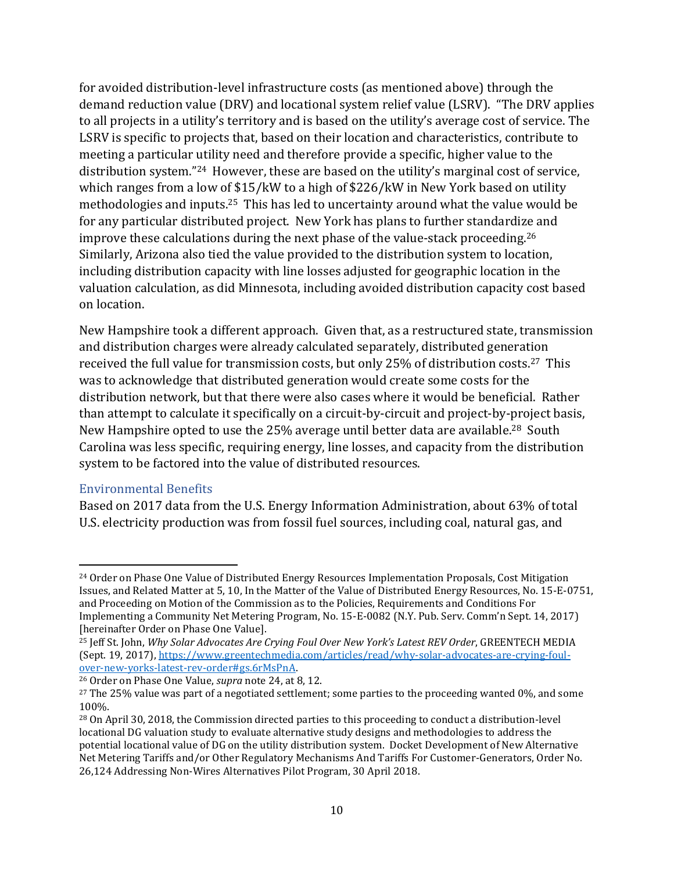for avoided distribution-level infrastructure costs (as mentioned above) through the demand reduction value (DRV) and locational system relief value (LSRV). "The DRV applies to all projects in a utility's territory and is based on the utility's average cost of service. The LSRV is specific to projects that, based on their location and characteristics, contribute to meeting a particular utility need and therefore provide a specific, higher value to the distribution system."24 However, these are based on the utility's marginal cost of service, which ranges from a low of \$15/kW to a high of \$226/kW in New York based on utility methodologies and inputs. <sup>25</sup> This has led to uncertainty around what the value would be for any particular distributed project. New York has plans to further standardize and improve these calculations during the next phase of the value-stack proceeding.<sup>26</sup> Similarly, Arizona also tied the value provided to the distribution system to location, including distribution capacity with line losses adjusted for geographic location in the valuation calculation, as did Minnesota, including avoided distribution capacity cost based on location.

New Hampshire took a different approach. Given that, as a restructured state, transmission and distribution charges were already calculated separately, distributed generation received the full value for transmission costs, but only 25% of distribution costs.27 This was to acknowledge that distributed generation would create some costs for the distribution network, but that there were also cases where it would be beneficial. Rather than attempt to calculate it specifically on a circuit-by-circuit and project-by-project basis, New Hampshire opted to use the 25% average until better data are available.<sup>28</sup> South Carolina was less specific, requiring energy, line losses, and capacity from the distribution system to be factored into the value of distributed resources.

#### Environmental Benefits

 $\overline{\phantom{a}}$ 

Based on 2017 data from the U.S. Energy Information Administration, about 63% of total U.S. electricity production was from fossil fuel sources, including coal, natural gas, and

<sup>24</sup> Order on Phase One Value of Distributed Energy Resources Implementation Proposals, Cost Mitigation Issues, and Related Matter at 5, 10, In the Matter of the Value of Distributed Energy Resources, No. 15-E-0751, and Proceeding on Motion of the Commission as to the Policies, Requirements and Conditions For Implementing a Community Net Metering Program, No. 15-E-0082 (N.Y. Pub. Serv. Comm'n Sept. 14, 2017) [hereinafter Order on Phase One Value].

<sup>25</sup> Jeff St. John, *Why Solar Advocates Are Crying Foul Over New York's Latest REV Order*, GREENTECH MEDIA (Sept. 19, 2017)[, https://www.greentechmedia.com/articles/read/why-solar-advocates-are-crying-foul](https://www.greentechmedia.com/articles/read/why-solar-advocates-are-crying-foul-over-new-yorks-latest-rev-order#gs.6rMsPnA)[over-new-yorks-latest-rev-order#gs.6rMsPnA.](https://www.greentechmedia.com/articles/read/why-solar-advocates-are-crying-foul-over-new-yorks-latest-rev-order#gs.6rMsPnA) 

<sup>26</sup> Order on Phase One Value, *supra* note 24, at 8, 12.

 $27$  The 25% value was part of a negotiated settlement; some parties to the proceeding wanted 0%, and some 100%.

<sup>28</sup> On April 30, 2018, the Commission directed parties to this proceeding to conduct a distribution-level locational DG valuation study to evaluate alternative study designs and methodologies to address the potential locational value of DG on the utility distribution system. Docket Development of New Alternative Net Metering Tariffs and/or Other Regulatory Mechanisms And Tariffs For Customer-Generators, Order No. 26,124 Addressing Non-Wires Alternatives Pilot Program, 30 April 2018.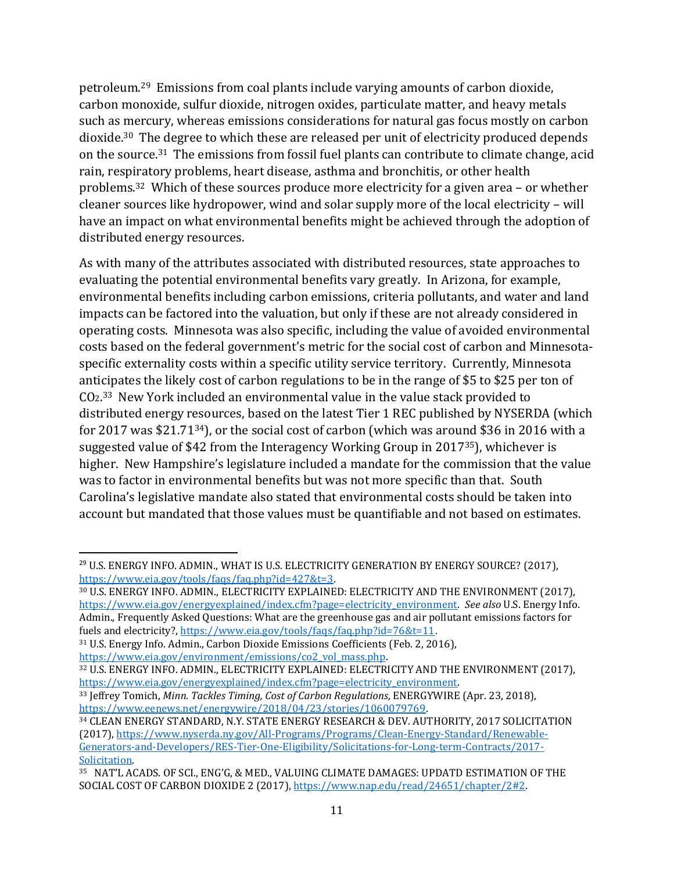petroleum. <sup>29</sup> Emissions from coal plants include varying amounts of carbon dioxide, carbon monoxide, sulfur dioxide, nitrogen oxides, particulate matter, and heavy metals such as mercury, whereas emissions considerations for natural gas focus mostly on carbon dioxide. <sup>30</sup> The degree to which these are released per unit of electricity produced depends on the source.31 The emissions from fossil fuel plants can contribute to climate change, acid rain, respiratory problems, heart disease, asthma and bronchitis, or other health problems.32 Which of these sources produce more electricity for a given area – or whether cleaner sources like hydropower, wind and solar supply more of the local electricity – will have an impact on what environmental benefits might be achieved through the adoption of distributed energy resources.

As with many of the attributes associated with distributed resources, state approaches to evaluating the potential environmental benefits vary greatly. In Arizona, for example, environmental benefits including carbon emissions, criteria pollutants, and water and land impacts can be factored into the valuation, but only if these are not already considered in operating costs. Minnesota was also specific, including the value of avoided environmental costs based on the federal government's metric for the social cost of carbon and Minnesotaspecific externality costs within a specific utility service territory. Currently, Minnesota anticipates the likely cost of carbon regulations to be in the range of \$5 to \$25 per ton of CO2. <sup>33</sup> New York included an environmental value in the value stack provided to distributed energy resources, based on the latest Tier 1 REC published by NYSERDA (which for 2017 was \$21.7134), or the social cost of carbon (which was around \$36 in 2016 with a suggested value of \$42 from the Interagency Working Group in 201735), whichever is higher. New Hampshire's legislature included a mandate for the commission that the value was to factor in environmental benefits but was not more specific than that. South Carolina's legislative mandate also stated that environmental costs should be taken into account but mandated that those values must be quantifiable and not based on estimates.

 $\overline{a}$ <sup>29</sup> U.S. ENERGY INFO. ADMIN., WHAT IS U.S. ELECTRICITY GENERATION BY ENERGY SOURCE? (2017), [https://www.eia.gov/tools/faqs/faq.php?id=427&t=3.](https://www.eia.gov/tools/faqs/faq.php?id=427&t=3)

<sup>30</sup> U.S. ENERGY INFO. ADMIN., ELECTRICITY EXPLAINED: ELECTRICITY AND THE ENVIRONMENT (2017), [https://www.eia.gov/energyexplained/index.cfm?page=electricity\\_environment.](https://www.eia.gov/energyexplained/index.cfm?page=electricity_environment) *See also* U.S. Energy Info. Admin., Frequently Asked Questions: What are the greenhouse gas and air pollutant emissions factors for fuels and electricity?,<https://www.eia.gov/tools/faqs/faq.php?id=76&t=11>.

<sup>31</sup> U.S. Energy Info. Admin., Carbon Dioxide Emissions Coefficients (Feb. 2, 2016), [https://www.eia.gov/environment/emissions/co2\\_vol\\_mass.php.](https://www.eia.gov/environment/emissions/co2_vol_mass.php)

<sup>32</sup> U.S. ENERGY INFO. ADMIN., ELECTRICITY EXPLAINED: ELECTRICITY AND THE ENVIRONMENT (2017), [https://www.eia.gov/energyexplained/index.cfm?page=electricity\\_environment.](https://www.eia.gov/energyexplained/index.cfm?page=electricity_environment)

<sup>33</sup> Jeffrey Tomich, *Minn. Tackles Timing, Cost of Carbon Regulations*, ENERGYWIRE (Apr. 23, 2018), [https://www.eenews.net/energywire/2018/04/23/stories/1060079769.](https://www.eenews.net/energywire/2018/04/23/stories/1060079769)

<sup>34</sup> CLEAN ENERGY STANDARD, N.Y. STATE ENERGY RESEARCH & DEV. AUTHORITY, 2017 SOLICITATION (2017), [https://www.nyserda.ny.gov/All-Programs/Programs/Clean-Energy-Standard/Renewable-](https://www.nyserda.ny.gov/All-Programs/Programs/Clean-Energy-Standard/Renewable-Generators-and-Developers/RES-Tier-One-Eligibility/Solicitations-for-Long-term-Contracts/2017-Solicitation)[Generators-and-Developers/RES-Tier-One-Eligibility/Solicitations-for-Long-term-Contracts/2017-](https://www.nyserda.ny.gov/All-Programs/Programs/Clean-Energy-Standard/Renewable-Generators-and-Developers/RES-Tier-One-Eligibility/Solicitations-for-Long-term-Contracts/2017-Solicitation) [Solicitation.](https://www.nyserda.ny.gov/All-Programs/Programs/Clean-Energy-Standard/Renewable-Generators-and-Developers/RES-Tier-One-Eligibility/Solicitations-for-Long-term-Contracts/2017-Solicitation)

<sup>35</sup> NAT'L ACADS. OF SCI., ENG'G, & MED., VALUING CLIMATE DAMAGES: UPDATD ESTIMATION OF THE SOCIAL COST OF CARBON DIOXIDE 2 (2017), [https://www.nap.edu/read/24651/chapter/2#2.](https://www.nap.edu/read/24651/chapter/2#2)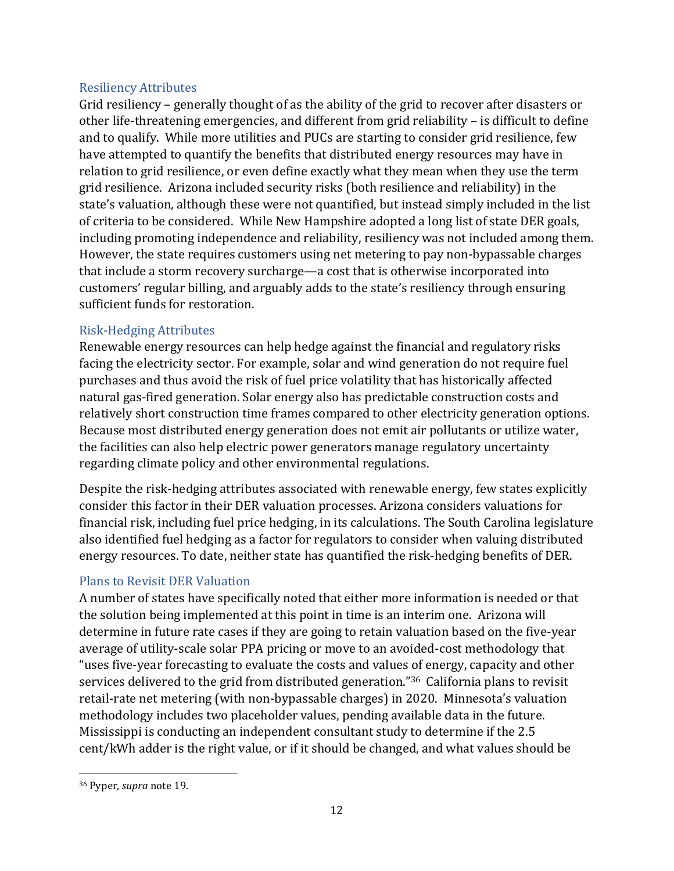#### Resiliency Attributes

Grid resiliency – generally thought of as the ability of the grid to recover after disasters or other life-threatening emergencies, and different from grid reliability – is difficult to define and to qualify. While more utilities and PUCs are starting to consider grid resilience, few have attempted to quantify the benefits that distributed energy resources may have in relation to grid resilience, or even define exactly what they mean when they use the term grid resilience. Arizona included security risks (both resilience and reliability) in the state's valuation, although these were not quantified, but instead simply included in the list of criteria to be considered. While New Hampshire adopted a long list of state DER goals, including promoting independence and reliability, resiliency was not included among them. However, the state requires customers using net metering to pay non-bypassable charges that include a storm recovery surcharge—a cost that is otherwise incorporated into customers' regular billing, and arguably adds to the state's resiliency through ensuring sufficient funds for restoration.

#### Risk-Hedging Attributes

Renewable energy resources can help hedge against the financial and regulatory risks facing the electricity sector. For example, solar and wind generation do not require fuel purchases and thus avoid the risk of fuel price volatility that has historically affected natural gas-fired generation. Solar energy also has predictable construction costs and relatively short construction time frames compared to other electricity generation options. Because most distributed energy generation does not emit air pollutants or utilize water, the facilities can also help electric power generators manage regulatory uncertainty regarding climate policy and other environmental regulations.

Despite the risk-hedging attributes associated with renewable energy, few states explicitly consider this factor in their DER valuation processes. Arizona considers valuations for financial risk, including fuel price hedging, in its calculations. The South Carolina legislature also identified fuel hedging as a factor for regulators to consider when valuing distributed energy resources. To date, neither state has quantified the risk-hedging benefits of DER.

## Plans to Revisit DER Valuation

A number of states have specifically noted that either more information is needed or that the solution being implemented at this point in time is an interim one. Arizona will determine in future rate cases if they are going to retain valuation based on the five-year average of utility-scale solar PPA pricing or move to an avoided-cost methodology that "uses five-year forecasting to evaluate the costs and values of energy, capacity and other services delivered to the grid from distributed generation."36 California plans to revisit retail-rate net metering (with non-bypassable charges) in 2020. Minnesota's valuation methodology includes two placeholder values, pending available data in the future. Mississippi is conducting an independent consultant study to determine if the 2.5 cent/kWh adder is the right value, or if it should be changed, and what values should be

 $\overline{a}$ <sup>36</sup> Pyper, *supra* note 19.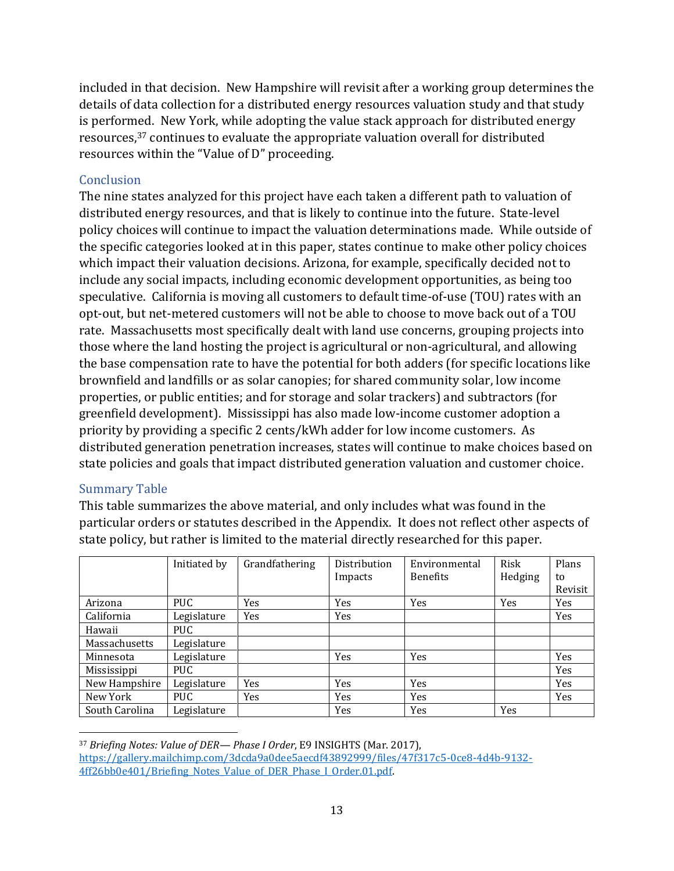included in that decision. New Hampshire will revisit after a working group determines the details of data collection for a distributed energy resources valuation study and that study is performed. New York, while adopting the value stack approach for distributed energy resources,<sup>37</sup> continues to evaluate the appropriate valuation overall for distributed resources within the "Value of D" proceeding.

#### **Conclusion**

The nine states analyzed for this project have each taken a different path to valuation of distributed energy resources, and that is likely to continue into the future. State-level policy choices will continue to impact the valuation determinations made. While outside of the specific categories looked at in this paper, states continue to make other policy choices which impact their valuation decisions. Arizona, for example, specifically decided not to include any social impacts, including economic development opportunities, as being too speculative. California is moving all customers to default time-of-use (TOU) rates with an opt-out, but net-metered customers will not be able to choose to move back out of a TOU rate. Massachusetts most specifically dealt with land use concerns, grouping projects into those where the land hosting the project is agricultural or non-agricultural, and allowing the base compensation rate to have the potential for both adders (for specific locations like brownfield and landfills or as solar canopies; for shared community solar, low income properties, or public entities; and for storage and solar trackers) and subtractors (for greenfield development). Mississippi has also made low-income customer adoption a priority by providing a specific 2 cents/kWh adder for low income customers. As distributed generation penetration increases, states will continue to make choices based on state policies and goals that impact distributed generation valuation and customer choice.

## Summary Table

This table summarizes the above material, and only includes what was found in the particular orders or statutes described in the Appendix. It does not reflect other aspects of state policy, but rather is limited to the material directly researched for this paper.

|                | Initiated by | Grandfathering | Distribution | Environmental   | Risk    | Plans   |
|----------------|--------------|----------------|--------------|-----------------|---------|---------|
|                |              |                | Impacts      | <b>Benefits</b> | Hedging | to      |
|                |              |                |              |                 |         | Revisit |
| Arizona        | PUC.         | Yes            | Yes          | Yes             | Yes     | Yes     |
| California     | Legislature  | <b>Yes</b>     | Yes          |                 |         | Yes     |
| Hawaii         | PUC.         |                |              |                 |         |         |
| Massachusetts  | Legislature  |                |              |                 |         |         |
| Minnesota      | Legislature  |                | Yes          | Yes             |         | Yes     |
| Mississippi    | PUC.         |                |              |                 |         | Yes     |
| New Hampshire  | Legislature  | <b>Yes</b>     | Yes          | Yes             |         | Yes     |
| New York       | PUC.         | Yes            | Yes          | <b>Yes</b>      |         | Yes     |
| South Carolina | Legislature  |                | Yes          | Yes             | Yes     |         |

 $\overline{a}$ <sup>37</sup> *Briefing Notes: Value of DER— Phase I Order*, E9 INSIGHTS (Mar. 2017), [https://gallery.mailchimp.com/3dcda9a0dee5aecdf43892999/files/47f317c5-0ce8-4d4b-9132-](https://gallery.mailchimp.com/3dcda9a0dee5aecdf43892999/files/47f317c5-0ce8-4d4b-9132-4ff26bb0e401/Briefing_Notes_Value_of_DER_Phase_I_Order.01.pdf) [4ff26bb0e401/Briefing\\_Notes\\_Value\\_of\\_DER\\_Phase\\_I\\_Order.01.pdf.](https://gallery.mailchimp.com/3dcda9a0dee5aecdf43892999/files/47f317c5-0ce8-4d4b-9132-4ff26bb0e401/Briefing_Notes_Value_of_DER_Phase_I_Order.01.pdf)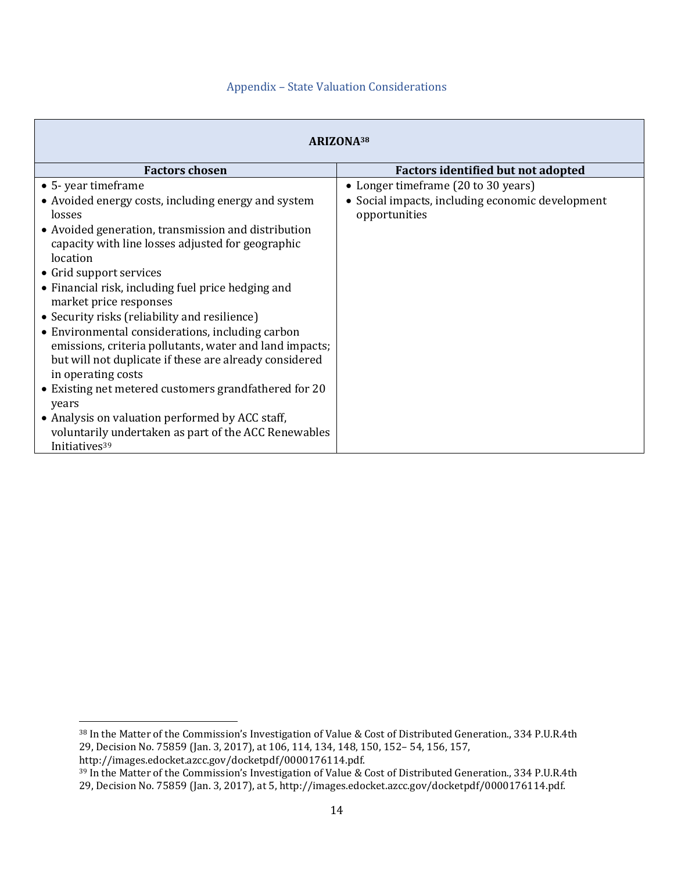#### Appendix – State Valuation Considerations

| ARIZONA <sup>38</sup>                                                                                                                                                                                                                                                                                                                                                                                                                                                                                                                                                                                                                                                                                                                                |                                                                                                          |  |  |
|------------------------------------------------------------------------------------------------------------------------------------------------------------------------------------------------------------------------------------------------------------------------------------------------------------------------------------------------------------------------------------------------------------------------------------------------------------------------------------------------------------------------------------------------------------------------------------------------------------------------------------------------------------------------------------------------------------------------------------------------------|----------------------------------------------------------------------------------------------------------|--|--|
| <b>Factors chosen</b>                                                                                                                                                                                                                                                                                                                                                                                                                                                                                                                                                                                                                                                                                                                                | <b>Factors identified but not adopted</b>                                                                |  |  |
| • 5- year timeframe<br>• Avoided energy costs, including energy and system<br>losses<br>• Avoided generation, transmission and distribution<br>capacity with line losses adjusted for geographic<br>location<br>• Grid support services<br>• Financial risk, including fuel price hedging and<br>market price responses<br>• Security risks (reliability and resilience)<br>• Environmental considerations, including carbon<br>emissions, criteria pollutants, water and land impacts;<br>but will not duplicate if these are already considered<br>in operating costs<br>• Existing net metered customers grandfathered for 20<br>years<br>• Analysis on valuation performed by ACC staff,<br>voluntarily undertaken as part of the ACC Renewables | • Longer timeframe (20 to 30 years)<br>• Social impacts, including economic development<br>opportunities |  |  |

http://images.edocket.azcc.gov/docketpdf/0000176114.pdf.

<sup>38</sup> In the Matter of the Commission's Investigation of Value & Cost of Distributed Generation., 334 P.U.R.4th 29, Decision No. 75859 (Jan. 3, 2017), at 106, 114, 134, 148, 150, 152– 54, 156, 157,

<sup>39</sup> In the Matter of the Commission's Investigation of Value & Cost of Distributed Generation., 334 P.U.R.4th 29, Decision No. 75859 (Jan. 3, 2017), at 5, http://images.edocket.azcc.gov/docketpdf/0000176114.pdf.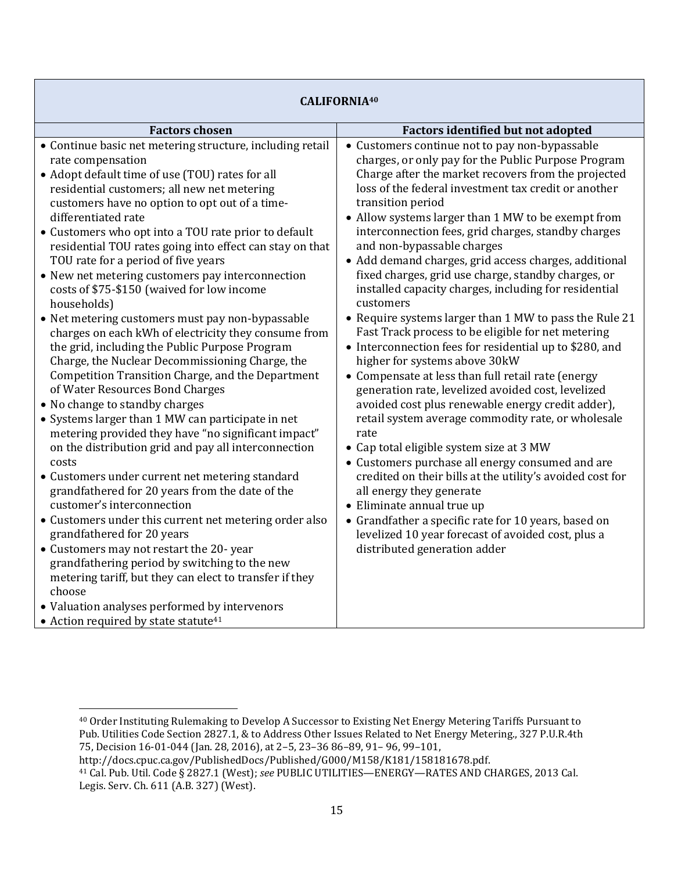| <b>CALIFORNIA40</b>                                                                                                                                                                                                                                                                                                                                                                                                                                                                                                                                                                                                                                                                                                                                                                                                                                                                                                                                                                                                                                                                                                                                                                                                                                                                                                                                                                                                                                                                                          |                                                                                                                                                                                                                                                                                                                                                                                                                                                                                                                                                                                                                                                                                                                                                                                                                                                                                                                                                                                                                                                                                                                                                                                                                                                                                                                                                                                            |  |
|--------------------------------------------------------------------------------------------------------------------------------------------------------------------------------------------------------------------------------------------------------------------------------------------------------------------------------------------------------------------------------------------------------------------------------------------------------------------------------------------------------------------------------------------------------------------------------------------------------------------------------------------------------------------------------------------------------------------------------------------------------------------------------------------------------------------------------------------------------------------------------------------------------------------------------------------------------------------------------------------------------------------------------------------------------------------------------------------------------------------------------------------------------------------------------------------------------------------------------------------------------------------------------------------------------------------------------------------------------------------------------------------------------------------------------------------------------------------------------------------------------------|--------------------------------------------------------------------------------------------------------------------------------------------------------------------------------------------------------------------------------------------------------------------------------------------------------------------------------------------------------------------------------------------------------------------------------------------------------------------------------------------------------------------------------------------------------------------------------------------------------------------------------------------------------------------------------------------------------------------------------------------------------------------------------------------------------------------------------------------------------------------------------------------------------------------------------------------------------------------------------------------------------------------------------------------------------------------------------------------------------------------------------------------------------------------------------------------------------------------------------------------------------------------------------------------------------------------------------------------------------------------------------------------|--|
| <b>Factors chosen</b>                                                                                                                                                                                                                                                                                                                                                                                                                                                                                                                                                                                                                                                                                                                                                                                                                                                                                                                                                                                                                                                                                                                                                                                                                                                                                                                                                                                                                                                                                        | <b>Factors identified but not adopted</b>                                                                                                                                                                                                                                                                                                                                                                                                                                                                                                                                                                                                                                                                                                                                                                                                                                                                                                                                                                                                                                                                                                                                                                                                                                                                                                                                                  |  |
| • Continue basic net metering structure, including retail<br>rate compensation<br>• Adopt default time of use (TOU) rates for all<br>residential customers; all new net metering<br>customers have no option to opt out of a time-<br>differentiated rate<br>• Customers who opt into a TOU rate prior to default<br>residential TOU rates going into effect can stay on that<br>TOU rate for a period of five years<br>• New net metering customers pay interconnection<br>costs of \$75-\$150 (waived for low income<br>households)<br>• Net metering customers must pay non-bypassable<br>charges on each kWh of electricity they consume from<br>the grid, including the Public Purpose Program<br>Charge, the Nuclear Decommissioning Charge, the<br>Competition Transition Charge, and the Department<br>of Water Resources Bond Charges<br>• No change to standby charges<br>• Systems larger than 1 MW can participate in net<br>metering provided they have "no significant impact"<br>on the distribution grid and pay all interconnection<br>costs<br>• Customers under current net metering standard<br>grandfathered for 20 years from the date of the<br>customer's interconnection<br>• Customers under this current net metering order also<br>grandfathered for 20 years<br>• Customers may not restart the 20- year<br>grandfathering period by switching to the new<br>metering tariff, but they can elect to transfer if they<br>choose<br>• Valuation analyses performed by intervenors | • Customers continue not to pay non-bypassable<br>charges, or only pay for the Public Purpose Program<br>Charge after the market recovers from the projected<br>loss of the federal investment tax credit or another<br>transition period<br>• Allow systems larger than 1 MW to be exempt from<br>interconnection fees, grid charges, standby charges<br>and non-bypassable charges<br>• Add demand charges, grid access charges, additional<br>fixed charges, grid use charge, standby charges, or<br>installed capacity charges, including for residential<br>customers<br>• Require systems larger than 1 MW to pass the Rule 21<br>Fast Track process to be eligible for net metering<br>• Interconnection fees for residential up to \$280, and<br>higher for systems above 30kW<br>• Compensate at less than full retail rate (energy<br>generation rate, levelized avoided cost, levelized<br>avoided cost plus renewable energy credit adder),<br>retail system average commodity rate, or wholesale<br>rate<br>• Cap total eligible system size at 3 MW<br>• Customers purchase all energy consumed and are<br>credited on their bills at the utility's avoided cost for<br>all energy they generate<br>• Eliminate annual true up<br>• Grandfather a specific rate for 10 years, based on<br>levelized 10 year forecast of avoided cost, plus a<br>distributed generation adder |  |
| • Action required by state statute <sup>41</sup>                                                                                                                                                                                                                                                                                                                                                                                                                                                                                                                                                                                                                                                                                                                                                                                                                                                                                                                                                                                                                                                                                                                                                                                                                                                                                                                                                                                                                                                             |                                                                                                                                                                                                                                                                                                                                                                                                                                                                                                                                                                                                                                                                                                                                                                                                                                                                                                                                                                                                                                                                                                                                                                                                                                                                                                                                                                                            |  |

 $\overline{a}$ 

<sup>40</sup> Order Instituting Rulemaking to Develop A Successor to Existing Net Energy Metering Tariffs Pursuant to Pub. Utilities Code Section 2827.1, & to Address Other Issues Related to Net Energy Metering., 327 P.U.R.4th 75, Decision 16-01-044 (Jan. 28, 2016), at 2–5, 23–36 86–89, 91– 96, 99–101,

http://docs.cpuc.ca.gov/PublishedDocs/Published/G000/M158/K181/158181678.pdf.

<sup>41</sup> Cal. Pub. Util. Code § 2827.1 (West); *see* PUBLIC UTILITIES—ENERGY—RATES AND CHARGES, 2013 Cal. Legis. Serv. Ch. 611 (A.B. 327) (West).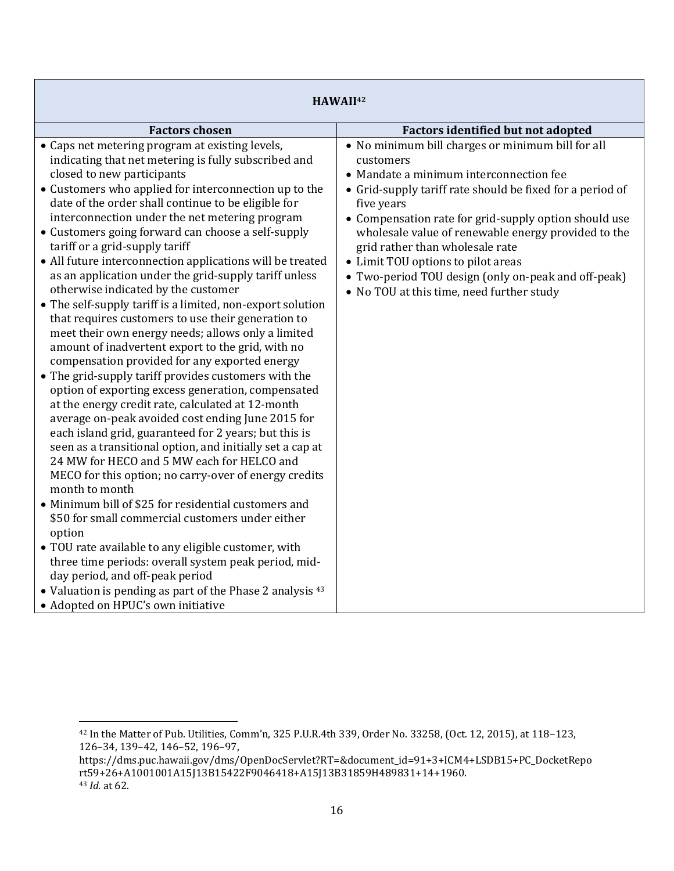| HAWAII <sup>42</sup>                                                                                                                                                                                                                                                                                                                                                                                                                                                              |  |  |
|-----------------------------------------------------------------------------------------------------------------------------------------------------------------------------------------------------------------------------------------------------------------------------------------------------------------------------------------------------------------------------------------------------------------------------------------------------------------------------------|--|--|
| <b>Factors identified but not adopted</b>                                                                                                                                                                                                                                                                                                                                                                                                                                         |  |  |
| • No minimum bill charges or minimum bill for all<br>customers<br>• Mandate a minimum interconnection fee<br>• Grid-supply tariff rate should be fixed for a period of<br>five years<br>• Compensation rate for grid-supply option should use<br>wholesale value of renewable energy provided to the<br>grid rather than wholesale rate<br>• Limit TOU options to pilot areas<br>• Two-period TOU design (only on-peak and off-peak)<br>• No TOU at this time, need further study |  |  |
|                                                                                                                                                                                                                                                                                                                                                                                                                                                                                   |  |  |

 $\overline{\phantom{a}}$  $^{42}$  In the Matter of Pub. Utilities, Comm'n, 325 P.U.R.4th 339, Order No. 33258, (Oct. 12, 2015), at 118–123, 126–34, 139–42, 146–52, 196–97,

https://dms.puc.hawaii.gov/dms/OpenDocServlet?RT=&document\_id=91+3+ICM4+LSDB15+PC\_DocketRepo rt59+26+A1001001A15J13B15422F9046418+A15J13B31859H489831+14+1960. <sup>43</sup> *Id.* at 62.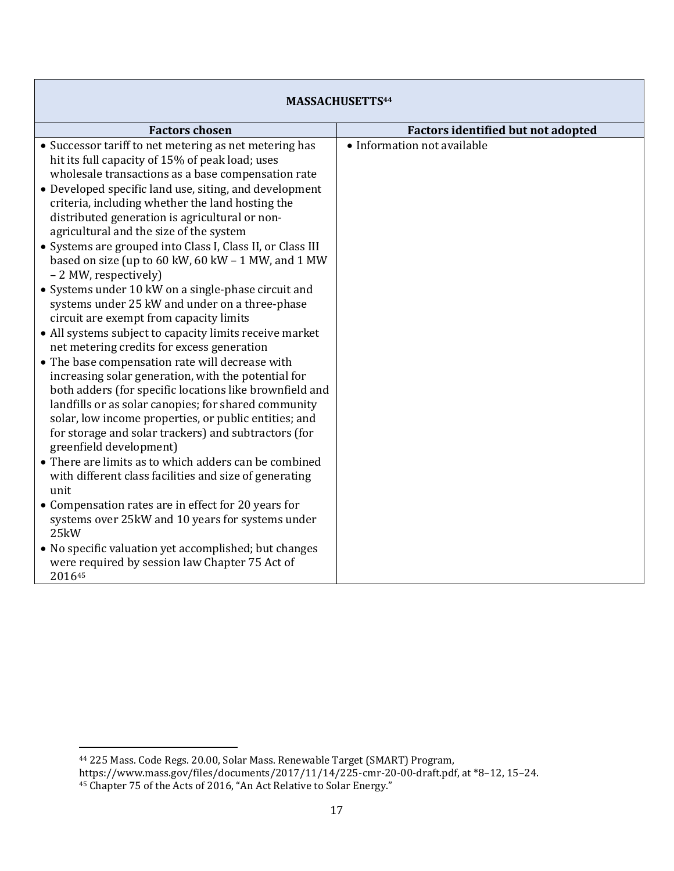| MASSACHUSETTS <sup>44</sup>                                                                                                                                                                                                                                                                                                                                                                                                                                                                                                                                                                                                                                                                                                                                                                                                                                                                                                                               |                                           |  |  |
|-----------------------------------------------------------------------------------------------------------------------------------------------------------------------------------------------------------------------------------------------------------------------------------------------------------------------------------------------------------------------------------------------------------------------------------------------------------------------------------------------------------------------------------------------------------------------------------------------------------------------------------------------------------------------------------------------------------------------------------------------------------------------------------------------------------------------------------------------------------------------------------------------------------------------------------------------------------|-------------------------------------------|--|--|
| <b>Factors chosen</b>                                                                                                                                                                                                                                                                                                                                                                                                                                                                                                                                                                                                                                                                                                                                                                                                                                                                                                                                     | <b>Factors identified but not adopted</b> |  |  |
| • Successor tariff to net metering as net metering has<br>hit its full capacity of 15% of peak load; uses<br>wholesale transactions as a base compensation rate<br>• Developed specific land use, siting, and development<br>criteria, including whether the land hosting the<br>distributed generation is agricultural or non-<br>agricultural and the size of the system<br>• Systems are grouped into Class I, Class II, or Class III<br>based on size (up to 60 kW, 60 kW - 1 MW, and 1 MW<br>- 2 MW, respectively)<br>• Systems under 10 kW on a single-phase circuit and<br>systems under 25 kW and under on a three-phase<br>circuit are exempt from capacity limits<br>• All systems subject to capacity limits receive market<br>net metering credits for excess generation<br>• The base compensation rate will decrease with<br>increasing solar generation, with the potential for<br>both adders (for specific locations like brownfield and | • Information not available               |  |  |
| landfills or as solar canopies; for shared community<br>solar, low income properties, or public entities; and<br>for storage and solar trackers) and subtractors (for<br>greenfield development)<br>• There are limits as to which adders can be combined<br>with different class facilities and size of generating<br>unit<br>• Compensation rates are in effect for 20 years for<br>systems over 25kW and 10 years for systems under<br>25kW<br>• No specific valuation yet accomplished; but changes<br>were required by session law Chapter 75 Act of<br>201645                                                                                                                                                                                                                                                                                                                                                                                       |                                           |  |  |

 $\mathsf I$ 

#### $\overline{\phantom{a}}$ <sup>44</sup> 225 Mass. Code Regs. 20.00, Solar Mass. Renewable Target (SMART) Program,

https://www.mass.gov/files/documents/2017/11/14/225-cmr-20-00-draft.pdf, at \*8–12, 15–24. 45 Chapter 75 of the Acts of 2016, "An Act Relative to Solar Energy."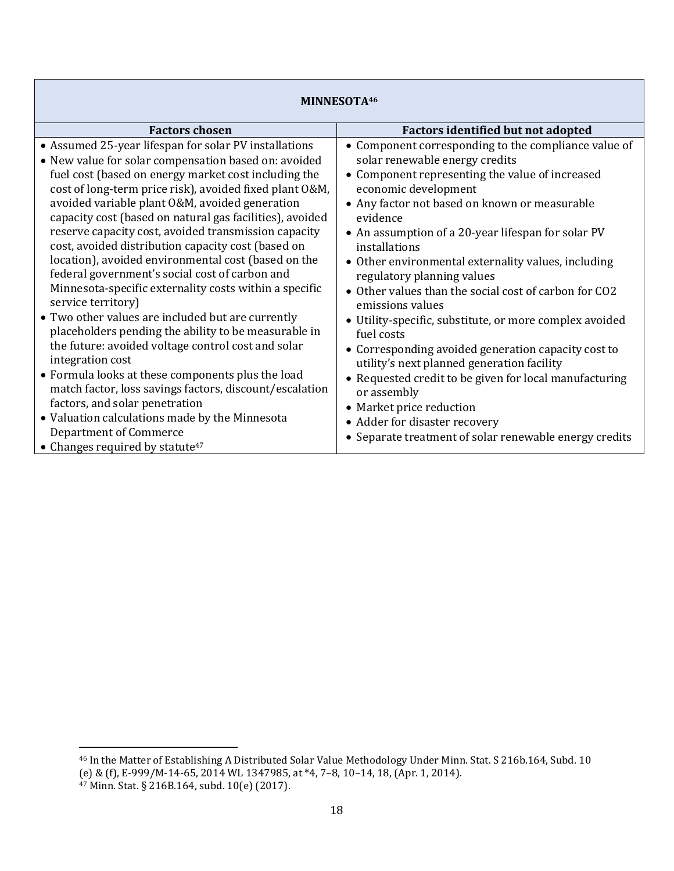| MINNESOTA46                                                                                                                                                                                                                                                                                                                                                                                                                                                                                                                                                                                                                                                                                                                                                                                                                                                                                                                                                                                    |                                                                                                                                                                                                                                                                                                                                                                                                                                                                                                                                                                                                                                                                                                                                                            |  |  |
|------------------------------------------------------------------------------------------------------------------------------------------------------------------------------------------------------------------------------------------------------------------------------------------------------------------------------------------------------------------------------------------------------------------------------------------------------------------------------------------------------------------------------------------------------------------------------------------------------------------------------------------------------------------------------------------------------------------------------------------------------------------------------------------------------------------------------------------------------------------------------------------------------------------------------------------------------------------------------------------------|------------------------------------------------------------------------------------------------------------------------------------------------------------------------------------------------------------------------------------------------------------------------------------------------------------------------------------------------------------------------------------------------------------------------------------------------------------------------------------------------------------------------------------------------------------------------------------------------------------------------------------------------------------------------------------------------------------------------------------------------------------|--|--|
| <b>Factors chosen</b>                                                                                                                                                                                                                                                                                                                                                                                                                                                                                                                                                                                                                                                                                                                                                                                                                                                                                                                                                                          | <b>Factors identified but not adopted</b>                                                                                                                                                                                                                                                                                                                                                                                                                                                                                                                                                                                                                                                                                                                  |  |  |
| • Assumed 25-year lifespan for solar PV installations<br>• New value for solar compensation based on: avoided<br>fuel cost (based on energy market cost including the<br>cost of long-term price risk), avoided fixed plant O&M,<br>avoided variable plant O&M, avoided generation<br>capacity cost (based on natural gas facilities), avoided<br>reserve capacity cost, avoided transmission capacity<br>cost, avoided distribution capacity cost (based on<br>location), avoided environmental cost (based on the<br>federal government's social cost of carbon and<br>Minnesota-specific externality costs within a specific<br>service territory)<br>• Two other values are included but are currently<br>placeholders pending the ability to be measurable in<br>the future: avoided voltage control cost and solar<br>integration cost<br>• Formula looks at these components plus the load<br>match factor, loss savings factors, discount/escalation<br>factors, and solar penetration | • Component corresponding to the compliance value of<br>solar renewable energy credits<br>• Component representing the value of increased<br>economic development<br>• Any factor not based on known or measurable<br>evidence<br>• An assumption of a 20-year lifespan for solar PV<br>installations<br>• Other environmental externality values, including<br>regulatory planning values<br>• Other values than the social cost of carbon for CO2<br>emissions values<br>• Utility-specific, substitute, or more complex avoided<br>fuel costs<br>• Corresponding avoided generation capacity cost to<br>utility's next planned generation facility<br>• Requested credit to be given for local manufacturing<br>or assembly<br>• Market price reduction |  |  |
| • Valuation calculations made by the Minnesota<br><b>Department of Commerce</b>                                                                                                                                                                                                                                                                                                                                                                                                                                                                                                                                                                                                                                                                                                                                                                                                                                                                                                                | • Adder for disaster recovery                                                                                                                                                                                                                                                                                                                                                                                                                                                                                                                                                                                                                                                                                                                              |  |  |
| • Changes required by statute <sup>47</sup>                                                                                                                                                                                                                                                                                                                                                                                                                                                                                                                                                                                                                                                                                                                                                                                                                                                                                                                                                    | • Separate treatment of solar renewable energy credits                                                                                                                                                                                                                                                                                                                                                                                                                                                                                                                                                                                                                                                                                                     |  |  |

 $\overline{\phantom{a}}$ <sup>46</sup> In the Matter of Establishing A Distributed Solar Value Methodology Under Minn. Stat. S 216b.164, Subd. 10 (e) & (f), E-999/M-14-65, 2014 WL 1347985, at \*4, 7–8, 10–14, 18, (Apr. 1, 2014).

<sup>47</sup> Minn. Stat. § 216B.164, subd. 10(e) (2017).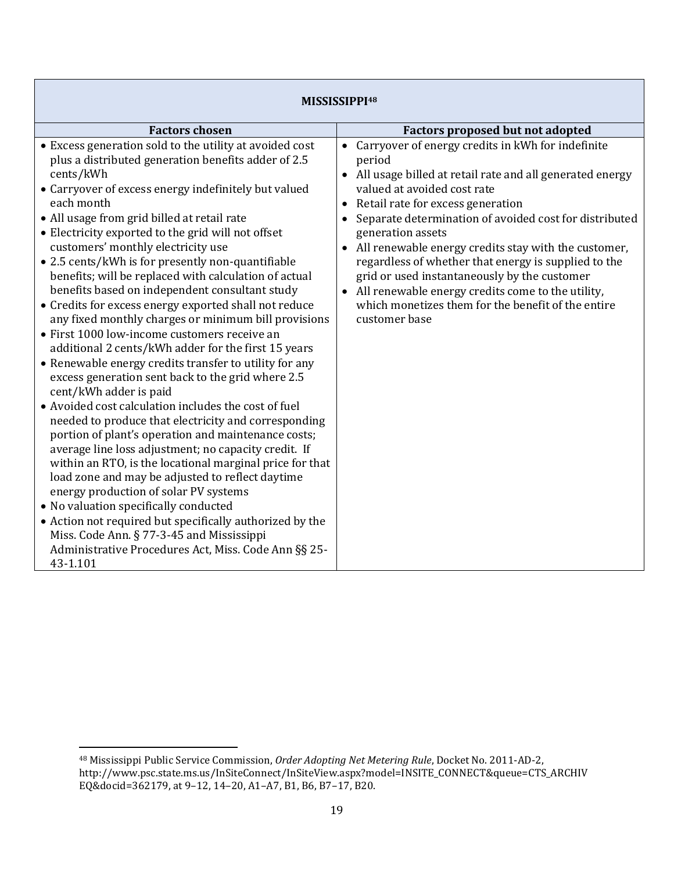| MISSISSIPPI <sup>48</sup>                                                                                                                                                                                                                                                                                                                                                                                                                                                                                                                                                                                                                                                                                                                                                                                                                                                                                                                                                                                                                                                                                                                                                                                                                                                                                                                                                                                                                                                                   |                                                                                                                                                                                                                                                                                                                                                                                                                                                                                                                                                                                                    |  |
|---------------------------------------------------------------------------------------------------------------------------------------------------------------------------------------------------------------------------------------------------------------------------------------------------------------------------------------------------------------------------------------------------------------------------------------------------------------------------------------------------------------------------------------------------------------------------------------------------------------------------------------------------------------------------------------------------------------------------------------------------------------------------------------------------------------------------------------------------------------------------------------------------------------------------------------------------------------------------------------------------------------------------------------------------------------------------------------------------------------------------------------------------------------------------------------------------------------------------------------------------------------------------------------------------------------------------------------------------------------------------------------------------------------------------------------------------------------------------------------------|----------------------------------------------------------------------------------------------------------------------------------------------------------------------------------------------------------------------------------------------------------------------------------------------------------------------------------------------------------------------------------------------------------------------------------------------------------------------------------------------------------------------------------------------------------------------------------------------------|--|
| <b>Factors chosen</b>                                                                                                                                                                                                                                                                                                                                                                                                                                                                                                                                                                                                                                                                                                                                                                                                                                                                                                                                                                                                                                                                                                                                                                                                                                                                                                                                                                                                                                                                       | <b>Factors proposed but not adopted</b>                                                                                                                                                                                                                                                                                                                                                                                                                                                                                                                                                            |  |
| • Excess generation sold to the utility at avoided cost<br>plus a distributed generation benefits adder of 2.5<br>cents/kWh<br>• Carryover of excess energy indefinitely but valued<br>each month<br>• All usage from grid billed at retail rate<br>• Electricity exported to the grid will not offset<br>customers' monthly electricity use<br>• 2.5 cents/kWh is for presently non-quantifiable<br>benefits; will be replaced with calculation of actual<br>benefits based on independent consultant study<br>• Credits for excess energy exported shall not reduce<br>any fixed monthly charges or minimum bill provisions<br>• First 1000 low-income customers receive an<br>additional 2 cents/kWh adder for the first 15 years<br>• Renewable energy credits transfer to utility for any<br>excess generation sent back to the grid where 2.5<br>cent/kWh adder is paid<br>• Avoided cost calculation includes the cost of fuel<br>needed to produce that electricity and corresponding<br>portion of plant's operation and maintenance costs;<br>average line loss adjustment; no capacity credit. If<br>within an RTO, is the locational marginal price for that<br>load zone and may be adjusted to reflect daytime<br>energy production of solar PV systems<br>• No valuation specifically conducted<br>• Action not required but specifically authorized by the<br>Miss. Code Ann. § 77-3-45 and Mississippi<br>Administrative Procedures Act, Miss. Code Ann §§ 25-<br>43-1.101 | • Carryover of energy credits in kWh for indefinite<br>period<br>All usage billed at retail rate and all generated energy<br>valued at avoided cost rate<br>Retail rate for excess generation<br>Separate determination of avoided cost for distributed<br>generation assets<br>All renewable energy credits stay with the customer,<br>$\bullet$<br>regardless of whether that energy is supplied to the<br>grid or used instantaneously by the customer<br>All renewable energy credits come to the utility,<br>$\bullet$<br>which monetizes them for the benefit of the entire<br>customer base |  |

<sup>48</sup> Mississippi Public Service Commission, *Order Adopting Net Metering Rule*, Docket No. 2011-AD-2, http://www.psc.state.ms.us/InSiteConnect/InSiteView.aspx?model=INSITE\_CONNECT&queue=CTS\_ARCHIV EQ&docid=362179, at 9–12, 14–20, A1–A7, B1, B6, B7–17, B20.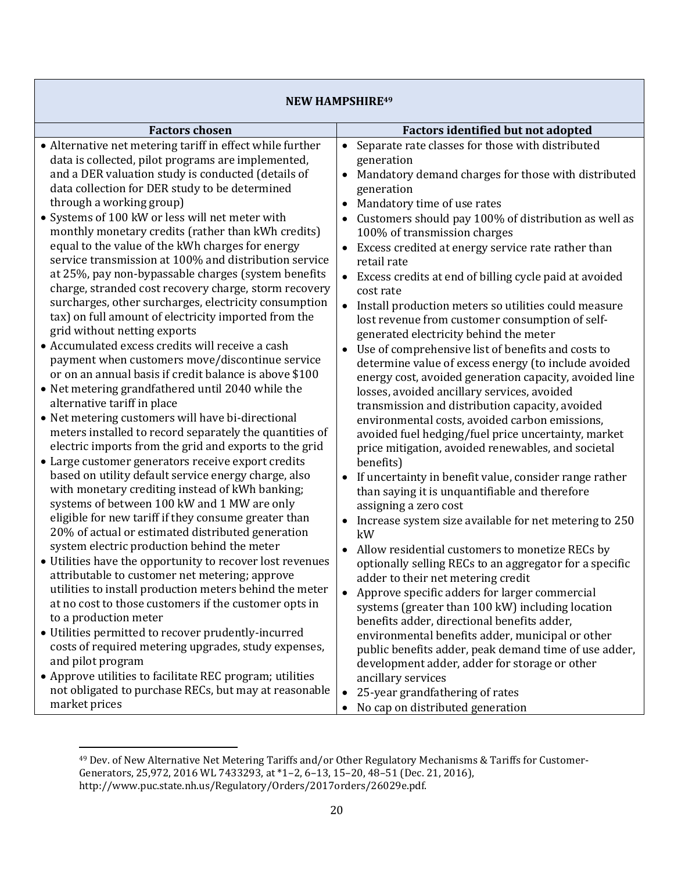| <b>NEW HAMPSHIRE49</b>                                                                                                                                                                                                                                                                                                                                                                                                                                                                                                                                                                                                                                              |                                                                                                                                                                                                                                                                                                                                                                                                                                                                                                                                                                                                |  |
|---------------------------------------------------------------------------------------------------------------------------------------------------------------------------------------------------------------------------------------------------------------------------------------------------------------------------------------------------------------------------------------------------------------------------------------------------------------------------------------------------------------------------------------------------------------------------------------------------------------------------------------------------------------------|------------------------------------------------------------------------------------------------------------------------------------------------------------------------------------------------------------------------------------------------------------------------------------------------------------------------------------------------------------------------------------------------------------------------------------------------------------------------------------------------------------------------------------------------------------------------------------------------|--|
| <b>Factors chosen</b>                                                                                                                                                                                                                                                                                                                                                                                                                                                                                                                                                                                                                                               | <b>Factors identified but not adopted</b>                                                                                                                                                                                                                                                                                                                                                                                                                                                                                                                                                      |  |
| • Alternative net metering tariff in effect while further<br>data is collected, pilot programs are implemented,<br>and a DER valuation study is conducted (details of<br>data collection for DER study to be determined<br>through a working group)                                                                                                                                                                                                                                                                                                                                                                                                                 | Separate rate classes for those with distributed<br>$\bullet$<br>generation<br>Mandatory demand charges for those with distributed<br>generation<br>Mandatory time of use rates                                                                                                                                                                                                                                                                                                                                                                                                                |  |
| • Systems of 100 kW or less will net meter with<br>monthly monetary credits (rather than kWh credits)<br>equal to the value of the kWh charges for energy<br>service transmission at 100% and distribution service<br>at 25%, pay non-bypassable charges (system benefits<br>charge, stranded cost recovery charge, storm recovery<br>surcharges, other surcharges, electricity consumption<br>tax) on full amount of electricity imported from the<br>grid without netting exports                                                                                                                                                                                 | Customers should pay 100% of distribution as well as<br>100% of transmission charges<br>Excess credited at energy service rate rather than<br>retail rate<br>• Excess credits at end of billing cycle paid at avoided<br>cost rate<br>• Install production meters so utilities could measure<br>lost revenue from customer consumption of self-                                                                                                                                                                                                                                                |  |
| • Accumulated excess credits will receive a cash<br>payment when customers move/discontinue service<br>or on an annual basis if credit balance is above \$100<br>• Net metering grandfathered until 2040 while the<br>alternative tariff in place                                                                                                                                                                                                                                                                                                                                                                                                                   | generated electricity behind the meter<br>Use of comprehensive list of benefits and costs to<br>$\bullet$<br>determine value of excess energy (to include avoided<br>energy cost, avoided generation capacity, avoided line<br>losses, avoided ancillary services, avoided<br>transmission and distribution capacity, avoided                                                                                                                                                                                                                                                                  |  |
| • Net metering customers will have bi-directional<br>meters installed to record separately the quantities of<br>electric imports from the grid and exports to the grid<br>• Large customer generators receive export credits<br>based on utility default service energy charge, also<br>with monetary crediting instead of kWh banking;                                                                                                                                                                                                                                                                                                                             | environmental costs, avoided carbon emissions,<br>avoided fuel hedging/fuel price uncertainty, market<br>price mitigation, avoided renewables, and societal<br>benefits)<br>If uncertainty in benefit value, consider range rather<br>$\bullet$<br>than saying it is unquantifiable and therefore                                                                                                                                                                                                                                                                                              |  |
| systems of between 100 kW and 1 MW are only<br>eligible for new tariff if they consume greater than<br>20% of actual or estimated distributed generation<br>system electric production behind the meter<br>• Utilities have the opportunity to recover lost revenues<br>attributable to customer net metering; approve<br>utilities to install production meters behind the meter<br>at no cost to those customers if the customer opts in<br>to a production meter<br>• Utilities permitted to recover prudently-incurred<br>costs of required metering upgrades, study expenses,<br>and pilot program<br>• Approve utilities to facilitate REC program; utilities | assigning a zero cost<br>Increase system size available for net metering to 250<br>kW<br>Allow residential customers to monetize RECs by<br>$\bullet$<br>optionally selling RECs to an aggregator for a specific<br>adder to their net metering credit<br>Approve specific adders for larger commercial<br>systems (greater than 100 kW) including location<br>benefits adder, directional benefits adder,<br>environmental benefits adder, municipal or other<br>public benefits adder, peak demand time of use adder,<br>development adder, adder for storage or other<br>ancillary services |  |
| not obligated to purchase RECs, but may at reasonable<br>market prices                                                                                                                                                                                                                                                                                                                                                                                                                                                                                                                                                                                              | 25-year grandfathering of rates<br>$\bullet$<br>No cap on distributed generation                                                                                                                                                                                                                                                                                                                                                                                                                                                                                                               |  |

 $\overline{\phantom{a}}$ <sup>49</sup> Dev. of New Alternative Net Metering Tariffs and/or Other Regulatory Mechanisms & Tariffs for Customer-Generators, 25,972, 2016 WL 7433293, at \*1–2, 6–13, 15–20, 48–51 (Dec. 21, 2016), http://www.puc.state.nh.us/Regulatory/Orders/2017orders/26029e.pdf.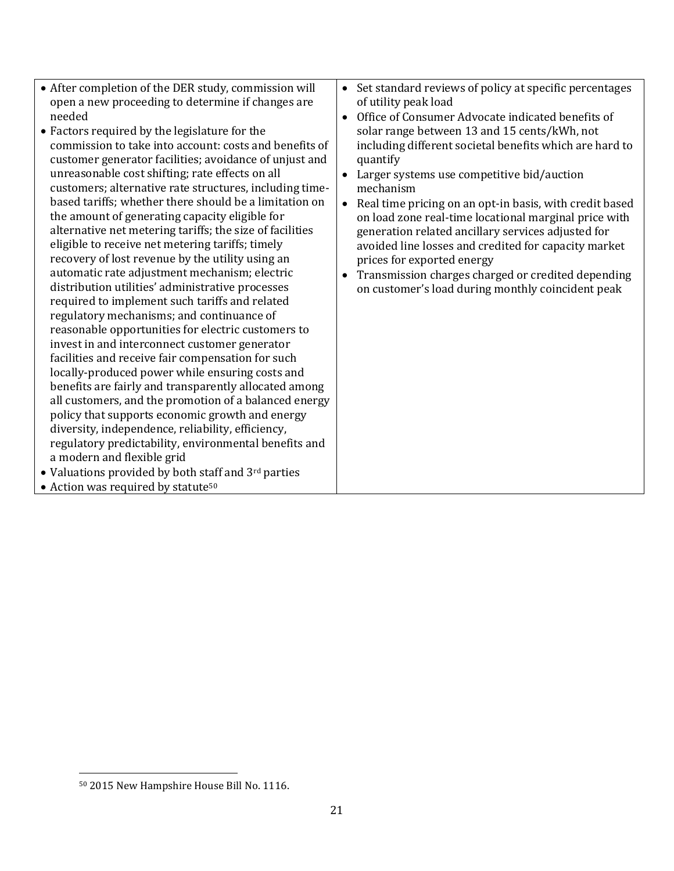- After completion of the DER study, commission will open a new proceeding to determine if changes are needed
- Factors required by the legislature for the commission to take into account: costs and benefits of customer generator facilities; avoidance of unjust and unreasonable cost shifting; rate effects on all customers; alternative rate structures, including timebased tariffs; whether there should be a limitation on the amount of generating capacity eligible for alternative net metering tariffs; the size of facilities eligible to receive net metering tariffs; timely recovery of lost revenue by the utility using an automatic rate adjustment mechanism; electric distribution utilities' administrative processes required to implement such tariffs and related regulatory mechanisms; and continuance of reasonable opportunities for electric customers to invest in and interconnect customer generator facilities and receive fair compensation for such locally-produced power while ensuring costs and benefits are fairly and transparently allocated among all customers, and the promotion of a balanced energy policy that supports economic growth and energy diversity, independence, reliability, efficiency, regulatory predictability, environmental benefits and a modern and flexible grid
- Valuations provided by both staff and 3<sup>rd</sup> parties
- Action was required by statute<sup>50</sup>

 $\overline{a}$ 

- Set standard reviews of policy at specific percentages of utility peak load
- Office of Consumer Advocate indicated benefits of solar range between 13 and 15 cents/kWh, not including different societal benefits which are hard to quantify
- Larger systems use competitive bid/auction mechanism
- Real time pricing on an opt-in basis, with credit based on load zone real-time locational marginal price with generation related ancillary services adjusted for avoided line losses and credited for capacity market prices for exported energy
- Transmission charges charged or credited depending on customer's load during monthly coincident peak

<sup>50</sup> 2015 New Hampshire House Bill No. 1116.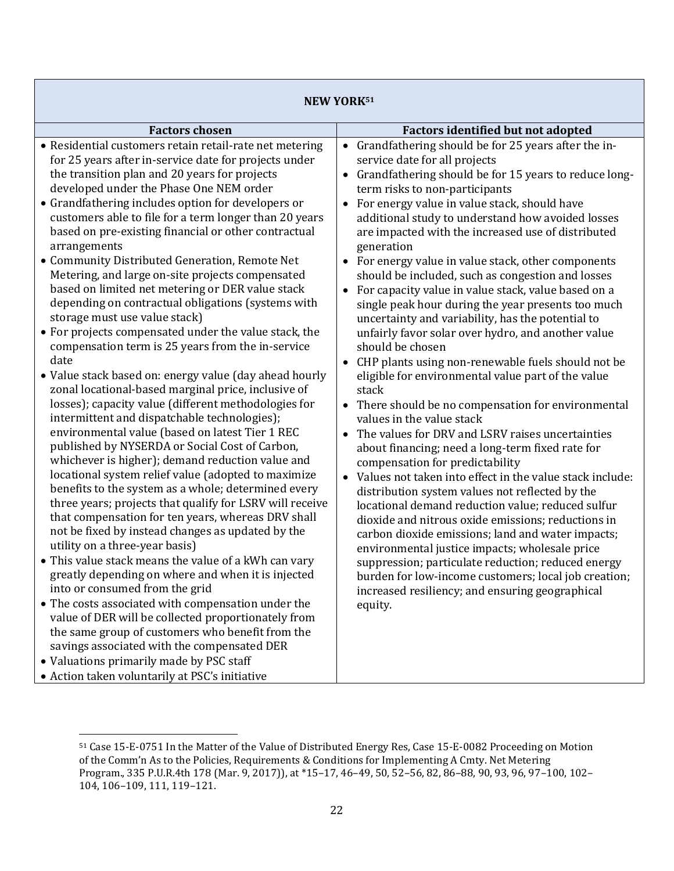| <b>NEW YORK51</b>                                                                                                                                                                                                                                                                                                                                                                                                                                                                                                                                                                                                                                                                                                                                                                                                                                                                                                                                                                                                                                                                                                                                                                                                                                                                                                                                                                                                                                                                                                                                                                                                                                                                                                                                                                                                                                                                                |                                                                                                                                                                                                                                                                                                                                                                                                                                                                                                                                                                                                                                                                                                                                                                                                                                                                                                                                                                                                                                                                                                                                                                                                                                                                                                                                                                                                                                                                                                                                                                                                                   |  |  |
|--------------------------------------------------------------------------------------------------------------------------------------------------------------------------------------------------------------------------------------------------------------------------------------------------------------------------------------------------------------------------------------------------------------------------------------------------------------------------------------------------------------------------------------------------------------------------------------------------------------------------------------------------------------------------------------------------------------------------------------------------------------------------------------------------------------------------------------------------------------------------------------------------------------------------------------------------------------------------------------------------------------------------------------------------------------------------------------------------------------------------------------------------------------------------------------------------------------------------------------------------------------------------------------------------------------------------------------------------------------------------------------------------------------------------------------------------------------------------------------------------------------------------------------------------------------------------------------------------------------------------------------------------------------------------------------------------------------------------------------------------------------------------------------------------------------------------------------------------------------------------------------------------|-------------------------------------------------------------------------------------------------------------------------------------------------------------------------------------------------------------------------------------------------------------------------------------------------------------------------------------------------------------------------------------------------------------------------------------------------------------------------------------------------------------------------------------------------------------------------------------------------------------------------------------------------------------------------------------------------------------------------------------------------------------------------------------------------------------------------------------------------------------------------------------------------------------------------------------------------------------------------------------------------------------------------------------------------------------------------------------------------------------------------------------------------------------------------------------------------------------------------------------------------------------------------------------------------------------------------------------------------------------------------------------------------------------------------------------------------------------------------------------------------------------------------------------------------------------------------------------------------------------------|--|--|
| <b>Factors chosen</b>                                                                                                                                                                                                                                                                                                                                                                                                                                                                                                                                                                                                                                                                                                                                                                                                                                                                                                                                                                                                                                                                                                                                                                                                                                                                                                                                                                                                                                                                                                                                                                                                                                                                                                                                                                                                                                                                            | <b>Factors identified but not adopted</b>                                                                                                                                                                                                                                                                                                                                                                                                                                                                                                                                                                                                                                                                                                                                                                                                                                                                                                                                                                                                                                                                                                                                                                                                                                                                                                                                                                                                                                                                                                                                                                         |  |  |
| • Residential customers retain retail-rate net metering<br>for 25 years after in-service date for projects under<br>the transition plan and 20 years for projects<br>developed under the Phase One NEM order<br>• Grandfathering includes option for developers or<br>customers able to file for a term longer than 20 years<br>based on pre-existing financial or other contractual<br>arrangements<br>• Community Distributed Generation, Remote Net<br>Metering, and large on-site projects compensated<br>based on limited net metering or DER value stack<br>depending on contractual obligations (systems with<br>storage must use value stack)<br>• For projects compensated under the value stack, the<br>compensation term is 25 years from the in-service<br>date<br>• Value stack based on: energy value (day ahead hourly<br>zonal locational-based marginal price, inclusive of<br>losses); capacity value (different methodologies for<br>intermittent and dispatchable technologies);<br>environmental value (based on latest Tier 1 REC<br>published by NYSERDA or Social Cost of Carbon,<br>whichever is higher); demand reduction value and<br>locational system relief value (adopted to maximize<br>benefits to the system as a whole; determined every<br>three years; projects that qualify for LSRV will receive<br>that compensation for ten years, whereas DRV shall<br>not be fixed by instead changes as updated by the<br>utility on a three-year basis)<br>• This value stack means the value of a kWh can vary<br>greatly depending on where and when it is injected<br>into or consumed from the grid<br>• The costs associated with compensation under the<br>value of DER will be collected proportionately from<br>the same group of customers who benefit from the<br>savings associated with the compensated DER<br>• Valuations primarily made by PSC staff | Grandfathering should be for 25 years after the in-<br>$\bullet$<br>service date for all projects<br>Grandfathering should be for 15 years to reduce long-<br>term risks to non-participants<br>• For energy value in value stack, should have<br>additional study to understand how avoided losses<br>are impacted with the increased use of distributed<br>generation<br>• For energy value in value stack, other components<br>should be included, such as congestion and losses<br>• For capacity value in value stack, value based on a<br>single peak hour during the year presents too much<br>uncertainty and variability, has the potential to<br>unfairly favor solar over hydro, and another value<br>should be chosen<br>• CHP plants using non-renewable fuels should not be<br>eligible for environmental value part of the value<br>stack<br>• There should be no compensation for environmental<br>values in the value stack<br>The values for DRV and LSRV raises uncertainties<br>about financing; need a long-term fixed rate for<br>compensation for predictability<br>Values not taken into effect in the value stack include:<br>$\bullet$<br>distribution system values not reflected by the<br>locational demand reduction value; reduced sulfur<br>dioxide and nitrous oxide emissions; reductions in<br>carbon dioxide emissions; land and water impacts;<br>environmental justice impacts; wholesale price<br>suppression; particulate reduction; reduced energy<br>burden for low-income customers; local job creation;<br>increased resiliency; and ensuring geographical<br>equity. |  |  |

- Action taken voluntarily at PSC's initiative
	- $\overline{\phantom{a}}$ <sup>51</sup> Case 15-E-0751 In the Matter of the Value of Distributed Energy Res, Case 15-E-0082 Proceeding on Motion of the Comm'n As to the Policies, Requirements & Conditions for Implementing A Cmty. Net Metering Program., 335 P.U.R.4th 178 (Mar. 9, 2017)), at \*15–17, 46–49, 50, 52–56, 82, 86–88, 90, 93, 96, 97–100, 102– 104, 106–109, 111, 119–121.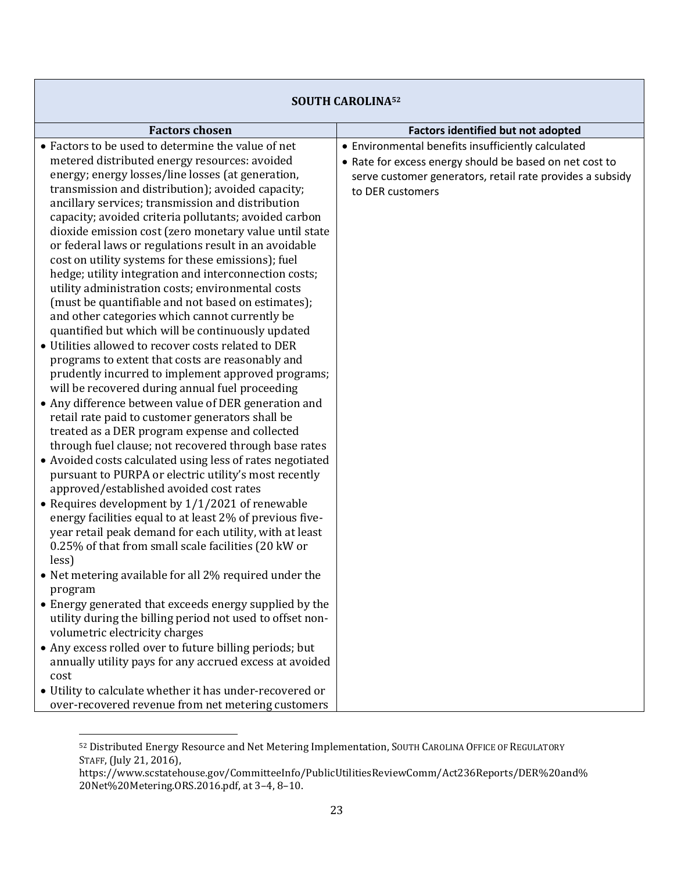| <b>SOUTH CAROLINA52</b>                                                                                                                                                                                                                                                                                                                                                                                                                                                                                                                                                                                                                                                                                                                                                                                                                                                                                                                                                                                                                                                                                                                                                                                                                                                                                                                                                                                                                                                                                                                                                                                                                                                                                                                                                                                                                                                                                                                                                                                                                                       |                                                                                                                                                                                                |  |
|---------------------------------------------------------------------------------------------------------------------------------------------------------------------------------------------------------------------------------------------------------------------------------------------------------------------------------------------------------------------------------------------------------------------------------------------------------------------------------------------------------------------------------------------------------------------------------------------------------------------------------------------------------------------------------------------------------------------------------------------------------------------------------------------------------------------------------------------------------------------------------------------------------------------------------------------------------------------------------------------------------------------------------------------------------------------------------------------------------------------------------------------------------------------------------------------------------------------------------------------------------------------------------------------------------------------------------------------------------------------------------------------------------------------------------------------------------------------------------------------------------------------------------------------------------------------------------------------------------------------------------------------------------------------------------------------------------------------------------------------------------------------------------------------------------------------------------------------------------------------------------------------------------------------------------------------------------------------------------------------------------------------------------------------------------------|------------------------------------------------------------------------------------------------------------------------------------------------------------------------------------------------|--|
| <b>Factors chosen</b>                                                                                                                                                                                                                                                                                                                                                                                                                                                                                                                                                                                                                                                                                                                                                                                                                                                                                                                                                                                                                                                                                                                                                                                                                                                                                                                                                                                                                                                                                                                                                                                                                                                                                                                                                                                                                                                                                                                                                                                                                                         | <b>Factors identified but not adopted</b>                                                                                                                                                      |  |
| • Factors to be used to determine the value of net<br>metered distributed energy resources: avoided<br>energy; energy losses/line losses (at generation,<br>transmission and distribution); avoided capacity;<br>ancillary services; transmission and distribution<br>capacity; avoided criteria pollutants; avoided carbon<br>dioxide emission cost (zero monetary value until state<br>or federal laws or regulations result in an avoidable<br>cost on utility systems for these emissions); fuel<br>hedge; utility integration and interconnection costs;<br>utility administration costs; environmental costs<br>(must be quantifiable and not based on estimates);<br>and other categories which cannot currently be<br>quantified but which will be continuously updated<br>• Utilities allowed to recover costs related to DER<br>programs to extent that costs are reasonably and<br>prudently incurred to implement approved programs;<br>will be recovered during annual fuel proceeding<br>• Any difference between value of DER generation and<br>retail rate paid to customer generators shall be<br>treated as a DER program expense and collected<br>through fuel clause; not recovered through base rates<br>• Avoided costs calculated using less of rates negotiated<br>pursuant to PURPA or electric utility's most recently<br>approved/established avoided cost rates<br>• Requires development by $1/1/2021$ of renewable<br>energy facilities equal to at least 2% of previous five-<br>year retail peak demand for each utility, with at least<br>0.25% of that from small scale facilities (20 kW or<br>less)<br>Net metering available for all 2% required under the<br>program<br>• Energy generated that exceeds energy supplied by the<br>utility during the billing period not used to offset non-<br>volumetric electricity charges<br>• Any excess rolled over to future billing periods; but<br>annually utility pays for any accrued excess at avoided<br>cost<br>• Utility to calculate whether it has under-recovered or | • Environmental benefits insufficiently calculated<br>• Rate for excess energy should be based on net cost to<br>serve customer generators, retail rate provides a subsidy<br>to DER customers |  |
| over-recovered revenue from net metering customers                                                                                                                                                                                                                                                                                                                                                                                                                                                                                                                                                                                                                                                                                                                                                                                                                                                                                                                                                                                                                                                                                                                                                                                                                                                                                                                                                                                                                                                                                                                                                                                                                                                                                                                                                                                                                                                                                                                                                                                                            |                                                                                                                                                                                                |  |

 $\overline{\phantom{a}}$ 52 Distributed Energy Resource and Net Metering Implementation, SOUTH CAROLINA OFFICE OF REGULATORY STAFF,(July 21, 2016),

https://www.scstatehouse.gov/CommitteeInfo/PublicUtilitiesReviewComm/Act236Reports/DER%20and% 20Net%20Metering.ORS.2016.pdf, at 3–4, 8–10.